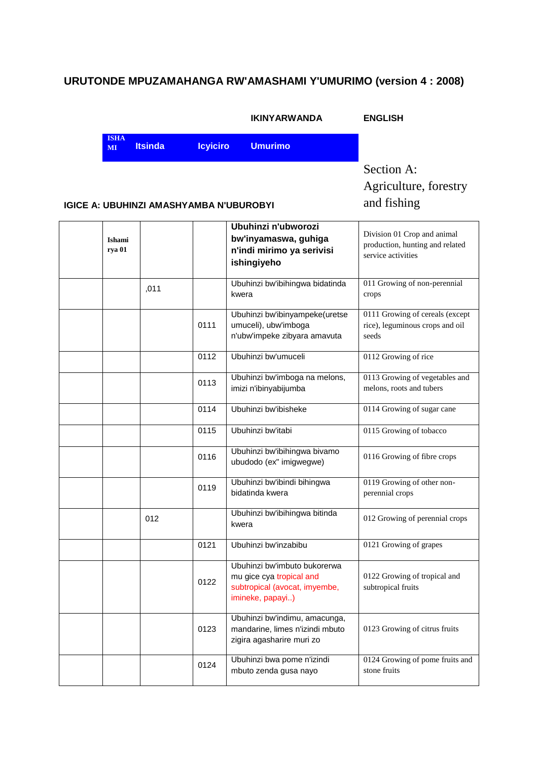### **URUTONDE MPUZAMAHANGA RW'AMASHAMI Y'UMURIMO (version 4 : 2008)**

|                   |                |                 | <b>IKINYARWANDA</b> | <b>ENGLISH</b> |
|-------------------|----------------|-----------------|---------------------|----------------|
| <b>ISHA</b><br>MI | <b>Itsinda</b> | <b>Icylciro</b> | <b>Umurimo</b>      |                |
|                   |                |                 |                     | Section        |

 $\lim A$ : Agriculture, forestry and fishing

#### **IGICE A: UBUHINZI AMASHYAMBA N'UBUROBYI**

| Ishami<br>rya 01 |      |      | Ubuhinzi n'ubworozi<br>bw'inyamaswa, guhiga<br>n'indi mirimo ya serivisi<br>ishingiyeho                       | Division 01 Crop and animal<br>production, hunting and related<br>service activities |
|------------------|------|------|---------------------------------------------------------------------------------------------------------------|--------------------------------------------------------------------------------------|
|                  | ,011 |      | Ubuhinzi bw'ibihingwa bidatinda<br>kwera                                                                      | 011 Growing of non-perennial<br>crops                                                |
|                  |      | 0111 | Ubuhinzi bw'ibinyampeke(uretse<br>umuceli), ubw'imboga<br>n'ubw'impeke zibyara amavuta                        | 0111 Growing of cereals (except<br>rice), leguminous crops and oil<br>seeds          |
|                  |      | 0112 | Ubuhinzi bw'umuceli                                                                                           | 0112 Growing of rice                                                                 |
|                  |      | 0113 | Ubuhinzi bw'imboga na melons,<br>imizi n'ibinyabijumba                                                        | 0113 Growing of vegetables and<br>melons, roots and tubers                           |
|                  |      | 0114 | Ubuhinzi bw'ibisheke                                                                                          | 0114 Growing of sugar cane                                                           |
|                  |      | 0115 | Ubuhinzi bw'itabi                                                                                             | 0115 Growing of tobacco                                                              |
|                  |      | 0116 | Ubuhinzi bw'ibihingwa bivamo<br>ubudodo (ex" imigwegwe)                                                       | 0116 Growing of fibre crops                                                          |
|                  |      | 0119 | Ubuhinzi bw'ibindi bihingwa<br>bidatinda kwera                                                                | 0119 Growing of other non-<br>perennial crops                                        |
|                  | 012  |      | Ubuhinzi bw'ibihingwa bitinda<br>kwera                                                                        | 012 Growing of perennial crops                                                       |
|                  |      | 0121 | Ubuhinzi bw'inzabibu                                                                                          | 0121 Growing of grapes                                                               |
|                  |      | 0122 | Ubuhinzi bw'imbuto bukorerwa<br>mu gice cya tropical and<br>subtropical (avocat, imyembe,<br>imineke, papayi) | 0122 Growing of tropical and<br>subtropical fruits                                   |
|                  |      | 0123 | Ubuhinzi bw'indimu, amacunga,<br>mandarine, limes n'izindi mbuto<br>zigira agasharire muri zo                 | 0123 Growing of citrus fruits                                                        |
|                  |      | 0124 | Ubuhinzi bwa pome n'izindi<br>mbuto zenda gusa nayo                                                           | 0124 Growing of pome fruits and<br>stone fruits                                      |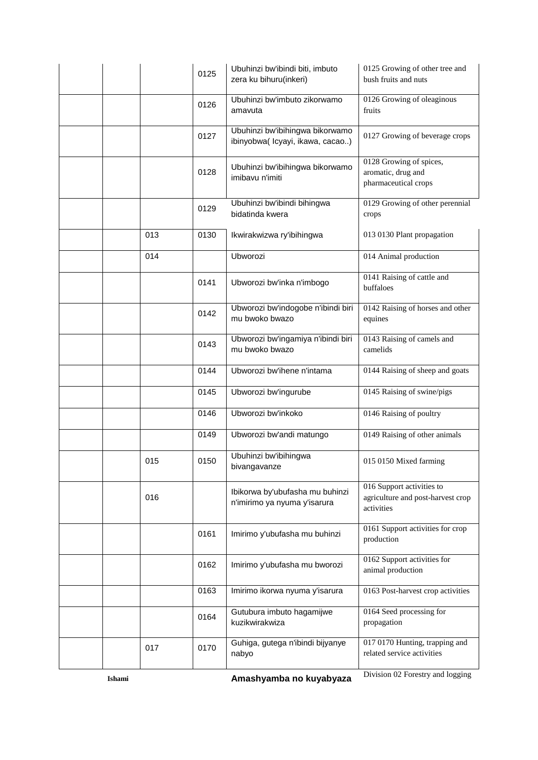|        |     | 0125 | Ubuhinzi bw'ibindi biti, imbuto<br>zera ku bihuru(inkeri)          | 0125 Growing of other tree and<br>bush fruits and nuts                       |
|--------|-----|------|--------------------------------------------------------------------|------------------------------------------------------------------------------|
|        |     | 0126 | Ubuhinzi bw'imbuto zikorwamo<br>amavuta                            | 0126 Growing of oleaginous<br>fruits                                         |
|        |     | 0127 | Ubuhinzi bw'ibihingwa bikorwamo<br>ibinyobwa(Icyayi, ikawa, cacao) | 0127 Growing of beverage crops                                               |
|        |     | 0128 | Ubuhinzi bw'ibihingwa bikorwamo<br>imibavu n'imiti                 | 0128 Growing of spices,<br>aromatic, drug and<br>pharmaceutical crops        |
|        |     | 0129 | Ubuhinzi bw'ibindi bihingwa<br>bidatinda kwera                     | 0129 Growing of other perennial<br>crops                                     |
|        | 013 | 0130 | Ikwirakwizwa ry'ibihingwa                                          | 013 0130 Plant propagation                                                   |
|        | 014 |      | Ubworozi                                                           | 014 Animal production                                                        |
|        |     | 0141 | Ubworozi bw'inka n'imbogo                                          | 0141 Raising of cattle and<br>buffaloes                                      |
|        |     | 0142 | Ubworozi bw'indogobe n'ibindi biri<br>mu bwoko bwazo               | 0142 Raising of horses and other<br>equines                                  |
|        |     | 0143 | Ubworozi bw'ingamiya n'ibindi biri<br>mu bwoko bwazo               | 0143 Raising of camels and<br>camelids                                       |
|        |     | 0144 | Ubworozi bw'ihene n'intama                                         | 0144 Raising of sheep and goats                                              |
|        |     | 0145 | Ubworozi bw'ingurube                                               | 0145 Raising of swine/pigs                                                   |
|        |     | 0146 | Ubworozi bw'inkoko                                                 | 0146 Raising of poultry                                                      |
|        |     | 0149 | Ubworozi bw'andi matungo                                           | 0149 Raising of other animals                                                |
|        | 015 | 0150 | Ubuhinzi bw'ibihingwa<br>bivangavanze                              | 015 0150 Mixed farming                                                       |
|        | 016 |      | Ibikorwa by'ubufasha mu buhinzi<br>n'imirimo ya nyuma y'isarura    | 016 Support activities to<br>agriculture and post-harvest crop<br>activities |
|        |     | 0161 | Imirimo y'ubufasha mu buhinzi                                      | 0161 Support activities for crop<br>production                               |
|        |     | 0162 | Imirimo y'ubufasha mu bworozi                                      | 0162 Support activities for<br>animal production                             |
|        |     | 0163 | Imirimo ikorwa nyuma y'isarura                                     | 0163 Post-harvest crop activities                                            |
|        |     | 0164 | Gutubura imbuto hagamijwe<br>kuzikwirakwiza                        | 0164 Seed processing for<br>propagation                                      |
|        | 017 | 0170 | Guhiga, gutega n'ibindi bijyanye<br>nabyo                          | 017 0170 Hunting, trapping and<br>related service activities                 |
| Ishami |     |      | Amashyamba no kuyabyaza                                            | Division 02 Forestry and logging                                             |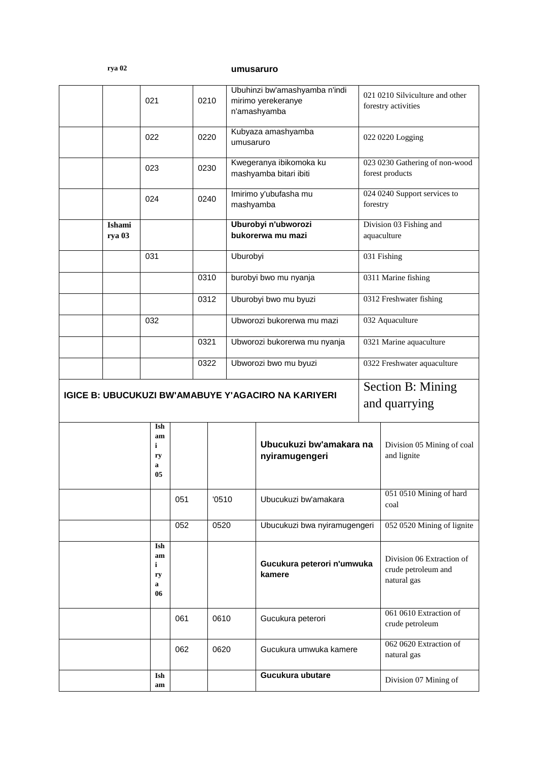|--|--|

## **rya 02 umusaruro**

|                                                            |                  | 021                             |     | 0210 |           |                                          | Ubuhinzi bw'amashyamba n'indi<br>mirimo yerekeranye<br>n'amashyamba |                                        | 021 0210 Silviculture and other<br>forestry activities          |
|------------------------------------------------------------|------------------|---------------------------------|-----|------|-----------|------------------------------------------|---------------------------------------------------------------------|----------------------------------------|-----------------------------------------------------------------|
|                                                            |                  | 022                             |     | 0220 | umusaruro |                                          | Kubyaza amashyamba                                                  |                                        | 022 0220 Logging                                                |
|                                                            |                  | 023                             |     | 0230 |           |                                          | Kwegeranya ibikomoka ku<br>mashyamba bitari ibiti                   |                                        | 023 0230 Gathering of non-wood<br>forest products               |
|                                                            |                  | 024                             |     | 0240 |           |                                          | Imirimo y'ubufasha mu<br>mashyamba                                  |                                        | 024 0240 Support services to<br>forestry                        |
|                                                            | Ishami<br>rya 03 |                                 |     |      |           | Uburobyi n'ubworozi<br>bukorerwa mu mazi |                                                                     | Division 03 Fishing and<br>aquaculture |                                                                 |
|                                                            |                  | 031                             |     |      |           | Uburobyi                                 |                                                                     | 031 Fishing                            |                                                                 |
|                                                            |                  |                                 |     | 0310 |           | burobyi bwo mu nyanja                    |                                                                     |                                        | 0311 Marine fishing                                             |
|                                                            |                  |                                 |     | 0312 |           | Uburobyi bwo mu byuzi                    |                                                                     |                                        | 0312 Freshwater fishing                                         |
|                                                            |                  | 032                             |     |      |           | Ubworozi bukorerwa mu mazi               |                                                                     | 032 Aquaculture                        |                                                                 |
|                                                            |                  |                                 |     |      | 0321      | Ubworozi bukorerwa mu nyanja             |                                                                     | 0321 Marine aquaculture                |                                                                 |
|                                                            |                  |                                 |     | 0322 |           |                                          | Ubworozi bwo mu byuzi                                               |                                        | 0322 Freshwater aquaculture                                     |
| <b>IGICE B: UBUCUKUZI BW'AMABUYE Y'AGACIRO NA KARIYERI</b> |                  |                                 |     |      |           |                                          |                                                                     |                                        | Section B: Mining<br>and quarrying                              |
|                                                            |                  | Ish<br>am<br>i<br>ry<br>a<br>05 |     |      |           |                                          | Ubucukuzi bw'amakara na<br>nyiramugengeri                           |                                        | Division 05 Mining of coal<br>and lignite                       |
|                                                            |                  |                                 | 051 |      | '0510     |                                          | Ubucukuzi bw'amakara                                                |                                        | 051 0510 Mining of hard<br>coal                                 |
|                                                            |                  |                                 | 052 |      | 0520      |                                          | Ubucukuzi bwa nyiramugengeri                                        |                                        | 052 0520 Mining of lignite                                      |
|                                                            |                  | Ish<br>am<br>i<br>ry<br>a<br>06 |     |      |           |                                          | Gucukura peterori n'umwuka<br>kamere                                |                                        | Division 06 Extraction of<br>crude petroleum and<br>natural gas |
|                                                            |                  |                                 | 061 |      | 0610      |                                          | Gucukura peterori                                                   |                                        | 061 0610 Extraction of<br>crude petroleum                       |
|                                                            |                  |                                 | 062 |      | 0620      |                                          | Gucukura umwuka kamere                                              |                                        | 062 0620 Extraction of<br>natural gas                           |
|                                                            |                  | Ish<br>am                       |     |      |           |                                          | Gucukura ubutare                                                    |                                        | Division 07 Mining of                                           |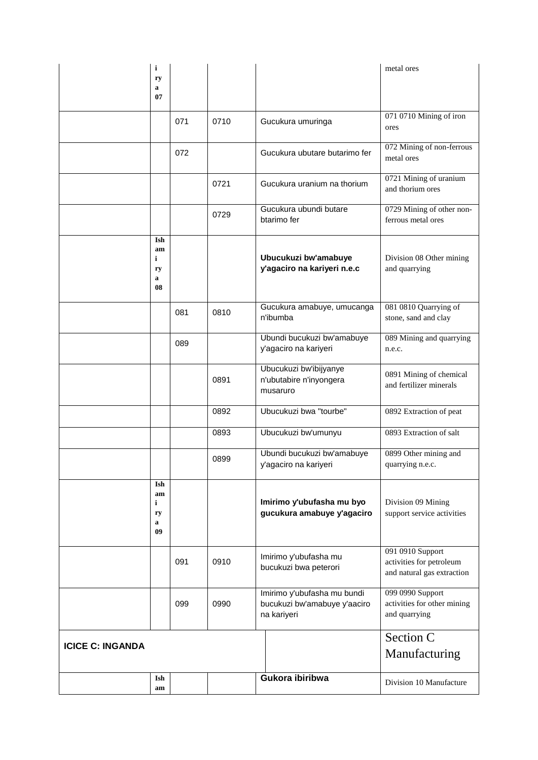|                         | i                               |     |      |                                                                            | metal ores                                                                 |
|-------------------------|---------------------------------|-----|------|----------------------------------------------------------------------------|----------------------------------------------------------------------------|
|                         | ry<br>a                         |     |      |                                                                            |                                                                            |
|                         | 07                              |     |      |                                                                            |                                                                            |
|                         |                                 | 071 | 0710 | Gucukura umuringa                                                          | 071 0710 Mining of iron<br>ores                                            |
|                         |                                 | 072 |      | Gucukura ubutare butarimo fer                                              | 072 Mining of non-ferrous<br>metal ores                                    |
|                         |                                 |     | 0721 | Gucukura uranium na thorium                                                | 0721 Mining of uranium<br>and thorium ores                                 |
|                         |                                 |     | 0729 | Gucukura ubundi butare<br>btarimo fer                                      | 0729 Mining of other non-<br>ferrous metal ores                            |
|                         | Ish<br>am<br>i<br>ry<br>a<br>08 |     |      | Ubucukuzi bw'amabuye<br>y'agaciro na kariyeri n.e.c                        | Division 08 Other mining<br>and quarrying                                  |
|                         |                                 | 081 | 0810 | Gucukura amabuye, umucanga<br>n'ibumba                                     | 081 0810 Quarrying of<br>stone, sand and clay                              |
|                         |                                 | 089 |      | Ubundi bucukuzi bw'amabuye<br>y'agaciro na kariyeri                        | 089 Mining and quarrying<br>n.e.c.                                         |
|                         |                                 |     | 0891 | Ubucukuzi bw'ibijyanye<br>n'ubutabire n'inyongera<br>musaruro              | 0891 Mining of chemical<br>and fertilizer minerals                         |
|                         |                                 |     | 0892 | Ubucukuzi bwa "tourbe"                                                     | 0892 Extraction of peat                                                    |
|                         |                                 |     | 0893 | Ubucukuzi bw'umunyu                                                        | 0893 Extraction of salt                                                    |
|                         |                                 |     | 0899 | Ubundi bucukuzi bw'amabuye<br>y'agaciro na kariyeri                        | 0899 Other mining and<br>quarrying n.e.c.                                  |
|                         | Ish<br>am<br>i<br>ry<br>a<br>09 |     |      | Imirimo y'ubufasha mu byo<br>gucukura amabuye y'agaciro                    | Division 09 Mining<br>support service activities                           |
|                         |                                 | 091 | 0910 | Imirimo y'ubufasha mu<br>bucukuzi bwa peterori                             | 091 0910 Support<br>activities for petroleum<br>and natural gas extraction |
|                         |                                 | 099 | 0990 | Imirimo y'ubufasha mu bundi<br>bucukuzi bw'amabuye y'aaciro<br>na kariyeri | 099 0990 Support<br>activities for other mining<br>and quarrying           |
| <b>ICICE C: INGANDA</b> |                                 |     |      |                                                                            | Section C<br>Manufacturing                                                 |
|                         | Ish<br>am                       |     |      | Gukora ibiribwa                                                            | Division 10 Manufacture                                                    |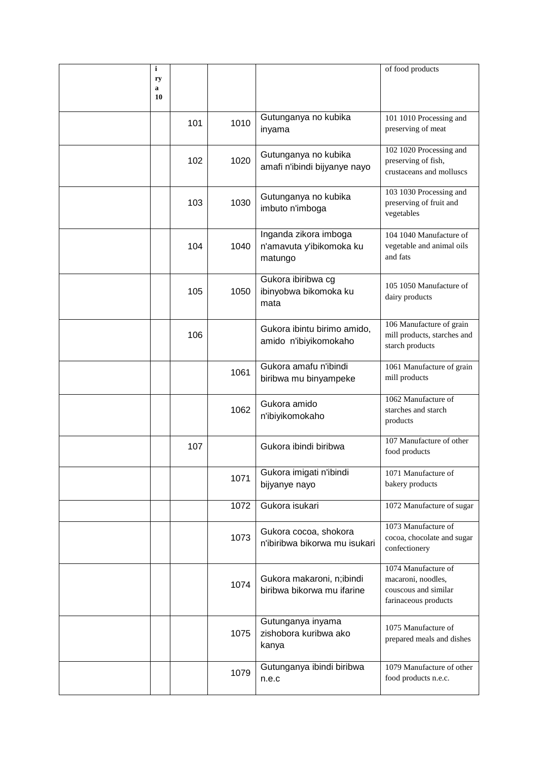| i       |     |      |                                                              | of food products                                                                          |
|---------|-----|------|--------------------------------------------------------------|-------------------------------------------------------------------------------------------|
| ry<br>a |     |      |                                                              |                                                                                           |
| 10      |     |      |                                                              |                                                                                           |
|         | 101 | 1010 | Gutunganya no kubika<br>inyama                               | 101 1010 Processing and<br>preserving of meat                                             |
|         | 102 | 1020 | Gutunganya no kubika<br>amafi n'ibindi bijyanye nayo         | 102 1020 Processing and<br>preserving of fish,<br>crustaceans and molluscs                |
|         | 103 | 1030 | Gutunganya no kubika<br>imbuto n'imboga                      | 103 1030 Processing and<br>preserving of fruit and<br>vegetables                          |
|         | 104 | 1040 | Inganda zikora imboga<br>n'amavuta y'ibikomoka ku<br>matungo | 104 1040 Manufacture of<br>vegetable and animal oils<br>and fats                          |
|         | 105 | 1050 | Gukora ibiribwa cg<br>ibinyobwa bikomoka ku<br>mata          | 105 1050 Manufacture of<br>dairy products                                                 |
|         | 106 |      | Gukora ibintu birimo amido,<br>amido n'ibiyikomokaho         | 106 Manufacture of grain<br>mill products, starches and<br>starch products                |
|         |     | 1061 | Gukora amafu n'ibindi<br>biribwa mu binyampeke               | 1061 Manufacture of grain<br>mill products                                                |
|         |     | 1062 | Gukora amido<br>n'ibiyikomokaho                              | 1062 Manufacture of<br>starches and starch<br>products                                    |
|         | 107 |      | Gukora ibindi biribwa                                        | 107 Manufacture of other<br>food products                                                 |
|         |     | 1071 | Gukora imigati n'ibindi<br>bijyanye nayo                     | 1071 Manufacture of<br>bakery products                                                    |
|         |     | 1072 | Gukora isukari                                               | 1072 Manufacture of sugar                                                                 |
|         |     | 1073 | Gukora cocoa, shokora<br>n'ibiribwa bikorwa mu isukari       | 1073 Manufacture of<br>cocoa, chocolate and sugar<br>confectionery                        |
|         |     | 1074 | Gukora makaroni, n;ibindi<br>biribwa bikorwa mu ifarine      | 1074 Manufacture of<br>macaroni, noodles,<br>couscous and similar<br>farinaceous products |
|         |     | 1075 | Gutunganya inyama<br>zishobora kuribwa ako<br>kanya          | 1075 Manufacture of<br>prepared meals and dishes                                          |
|         |     | 1079 | Gutunganya ibindi biribwa<br>n.e.c                           | 1079 Manufacture of other<br>food products n.e.c.                                         |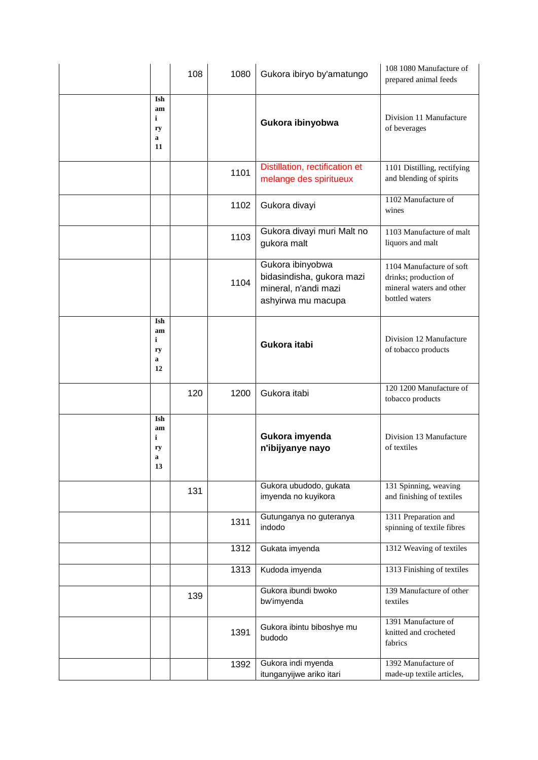|                                 | 108 | 1080 | Gukora ibiryo by'amatungo                                                                   | 108 1080 Manufacture of<br>prepared animal feeds                                                |
|---------------------------------|-----|------|---------------------------------------------------------------------------------------------|-------------------------------------------------------------------------------------------------|
| Ish<br>am<br>i<br>ry<br>a<br>11 |     |      | Gukora ibinyobwa                                                                            | Division 11 Manufacture<br>of beverages                                                         |
|                                 |     | 1101 | Distillation, rectification et<br>melange des spiritueux                                    | 1101 Distilling, rectifying<br>and blending of spirits                                          |
|                                 |     | 1102 | Gukora divayi                                                                               | 1102 Manufacture of<br>wines                                                                    |
|                                 |     | 1103 | Gukora divayi muri Malt no<br>gukora malt                                                   | 1103 Manufacture of malt<br>liquors and malt                                                    |
|                                 |     | 1104 | Gukora ibinyobwa<br>bidasindisha, gukora mazi<br>mineral, n'andi mazi<br>ashyirwa mu macupa | 1104 Manufacture of soft<br>drinks; production of<br>mineral waters and other<br>bottled waters |
| Ish<br>am<br>i<br>ry<br>a<br>12 |     |      | Gukora itabi                                                                                | Division 12 Manufacture<br>of tobacco products                                                  |
|                                 | 120 | 1200 | Gukora itabi                                                                                | 120 1200 Manufacture of<br>tobacco products                                                     |
| Ish<br>am<br>i<br>ry<br>a<br>13 |     |      | Gukora imyenda<br>n'ibijyanye nayo                                                          | Division 13 Manufacture<br>of textiles                                                          |
|                                 | 131 |      | Gukora ubudodo, gukata<br>imyenda no kuyikora                                               | 131 Spinning, weaving<br>and finishing of textiles                                              |
|                                 |     | 1311 | Gutunganya no guteranya<br>indodo                                                           | 1311 Preparation and<br>spinning of textile fibres                                              |
|                                 |     | 1312 | Gukata imyenda                                                                              | 1312 Weaving of textiles                                                                        |
|                                 |     | 1313 | Kudoda imyenda                                                                              | 1313 Finishing of textiles                                                                      |
|                                 | 139 |      | Gukora ibundi bwoko<br>bw'imyenda                                                           | 139 Manufacture of other<br>textiles                                                            |
|                                 |     | 1391 | Gukora ibintu biboshye mu<br>budodo                                                         | 1391 Manufacture of<br>knitted and crocheted<br>fabrics                                         |
|                                 |     | 1392 | Gukora indi myenda<br>itunganyijwe ariko itari                                              | 1392 Manufacture of<br>made-up textile articles,                                                |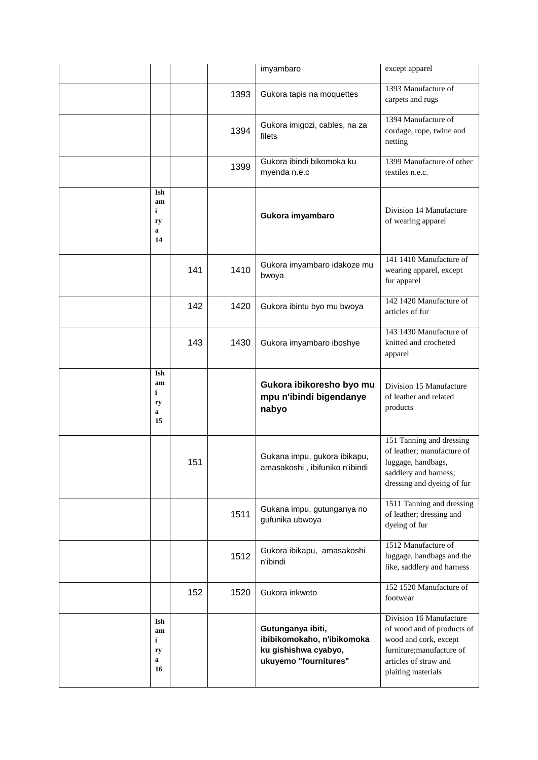|                                           |     |      | imyambaro                                                                                        | except apparel                                                                                                                                             |
|-------------------------------------------|-----|------|--------------------------------------------------------------------------------------------------|------------------------------------------------------------------------------------------------------------------------------------------------------------|
|                                           |     | 1393 | Gukora tapis na moquettes                                                                        | 1393 Manufacture of<br>carpets and rugs                                                                                                                    |
|                                           |     | 1394 | Gukora imigozi, cables, na za<br>filets                                                          | 1394 Manufacture of<br>cordage, rope, twine and<br>netting                                                                                                 |
|                                           |     | 1399 | Gukora ibindi bikomoka ku<br>myenda n.e.c                                                        | 1399 Manufacture of other<br>textiles n.e.c.                                                                                                               |
| Ish<br>am<br>i<br>ry<br>a<br>14           |     |      | Gukora imyambaro                                                                                 | Division 14 Manufacture<br>of wearing apparel                                                                                                              |
|                                           | 141 | 1410 | Gukora imyambaro idakoze mu<br>bwoya                                                             | 141 1410 Manufacture of<br>wearing apparel, except<br>fur apparel                                                                                          |
|                                           | 142 | 1420 | Gukora ibintu byo mu bwoya                                                                       | 142 1420 Manufacture of<br>articles of fur                                                                                                                 |
|                                           | 143 | 1430 | Gukora imyambaro iboshye                                                                         | 143 1430 Manufacture of<br>knitted and crocheted<br>apparel                                                                                                |
| Ish<br>am<br>$\mathbf i$<br>ry<br>a<br>15 |     |      | Gukora ibikoresho byo mu<br>mpu n'ibindi bigendanye<br>nabyo                                     | Division 15 Manufacture<br>of leather and related<br>products                                                                                              |
|                                           | 151 |      | Gukana impu, gukora ibikapu,<br>amasakoshi, ibifuniko n'ibindi                                   | 151 Tanning and dressing<br>of leather; manufacture of<br>luggage, handbags,<br>saddlery and harness;<br>dressing and dyeing of fur                        |
|                                           |     | 1511 | Gukana impu, gutunganya no<br>gufunika ubwoya                                                    | 1511 Tanning and dressing<br>of leather; dressing and<br>dyeing of fur                                                                                     |
|                                           |     | 1512 | Gukora ibikapu, amasakoshi<br>n'ibindi                                                           | 1512 Manufacture of<br>luggage, handbags and the<br>like, saddlery and harness                                                                             |
|                                           | 152 | 1520 | Gukora inkweto                                                                                   | 152 1520 Manufacture of<br>footwear                                                                                                                        |
| Ish<br>am<br>i<br>ry<br>a<br>16           |     |      | Gutunganya ibiti,<br>ibibikomokaho, n'ibikomoka<br>ku gishishwa cyabyo,<br>ukuyemo "fournitures" | Division 16 Manufacture<br>of wood and of products of<br>wood and cork, except<br>furniture; manufacture of<br>articles of straw and<br>plaiting materials |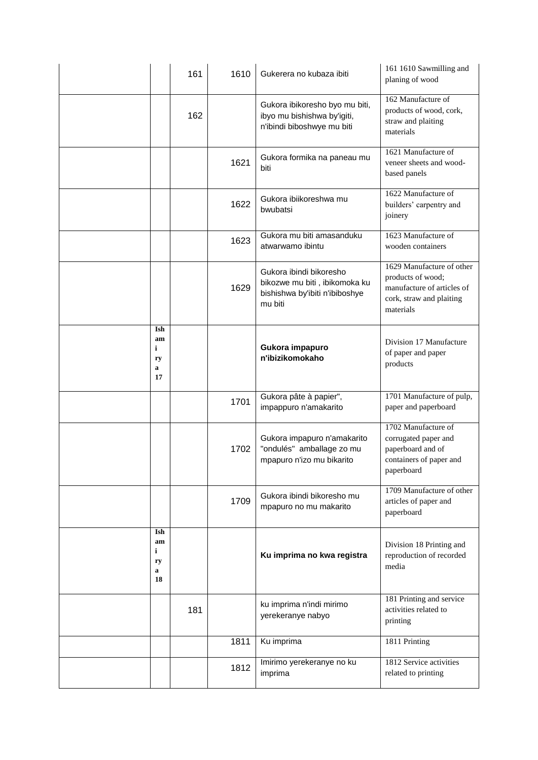|                                 | 161 | 1610 | Gukerera no kubaza ibiti                                                                              | 161 1610 Sawmilling and<br>planing of wood                                                                            |
|---------------------------------|-----|------|-------------------------------------------------------------------------------------------------------|-----------------------------------------------------------------------------------------------------------------------|
|                                 | 162 |      | Gukora ibikoresho byo mu biti,<br>ibyo mu bishishwa by'igiti,<br>n'ibindi biboshwye mu biti           | 162 Manufacture of<br>products of wood, cork,<br>straw and plaiting<br>materials                                      |
|                                 |     | 1621 | Gukora formika na paneau mu<br>biti                                                                   | 1621 Manufacture of<br>veneer sheets and wood-<br>based panels                                                        |
|                                 |     | 1622 | Gukora ibiikoreshwa mu<br>bwubatsi                                                                    | 1622 Manufacture of<br>builders' carpentry and<br>joinery                                                             |
|                                 |     | 1623 | Gukora mu biti amasanduku<br>atwarwamo ibintu                                                         | 1623 Manufacture of<br>wooden containers                                                                              |
|                                 |     | 1629 | Gukora ibindi bikoresho<br>bikozwe mu biti, ibikomoka ku<br>bishishwa by'ibiti n'ibiboshye<br>mu biti | 1629 Manufacture of other<br>products of wood;<br>manufacture of articles of<br>cork, straw and plaiting<br>materials |
| Ish<br>am<br>i<br>ry<br>a<br>17 |     |      | Gukora impapuro<br>n'ibizikomokaho                                                                    | Division 17 Manufacture<br>of paper and paper<br>products                                                             |
|                                 |     | 1701 | Gukora pâte à papier",<br>impappuro n'amakarito                                                       | 1701 Manufacture of pulp,<br>paper and paperboard                                                                     |
|                                 |     | 1702 | Gukora impapuro n'amakarito<br>"ondulés" amballage zo mu<br>mpapuro n'izo mu bikarito                 | 1702 Manufacture of<br>corrugated paper and<br>paperboard and of<br>containers of paper and<br>paperboard             |
|                                 |     | 1709 | Gukora ibindi bikoresho mu<br>mpapuro no mu makarito                                                  | 1709 Manufacture of other<br>articles of paper and<br>paperboard                                                      |
| Ish<br>am<br>i<br>ry<br>a<br>18 |     |      | Ku imprima no kwa registra                                                                            | Division 18 Printing and<br>reproduction of recorded<br>media                                                         |
|                                 | 181 |      | ku imprima n'indi mirimo<br>yerekeranye nabyo                                                         | 181 Printing and service<br>activities related to<br>printing                                                         |
|                                 |     | 1811 | Ku imprima                                                                                            | 1811 Printing                                                                                                         |
|                                 |     | 1812 | Imirimo yerekeranye no ku<br>imprima                                                                  | 1812 Service activities<br>related to printing                                                                        |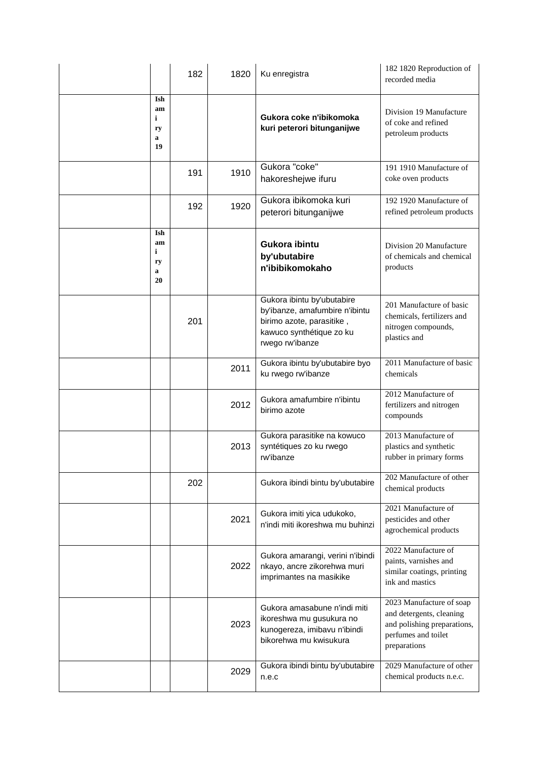|                                 | 182 | 1820 | Ku enregistra                                                                                                                            | 182 1820 Reproduction of<br>recorded media                                                                                 |
|---------------------------------|-----|------|------------------------------------------------------------------------------------------------------------------------------------------|----------------------------------------------------------------------------------------------------------------------------|
| Ish<br>am<br>i<br>ry<br>a<br>19 |     |      | Gukora coke n'ibikomoka<br>kuri peterori bitunganijwe                                                                                    | Division 19 Manufacture<br>of coke and refined<br>petroleum products                                                       |
|                                 | 191 | 1910 | Gukora "coke"<br>hakoreshejwe ifuru                                                                                                      | 191 1910 Manufacture of<br>coke oven products                                                                              |
|                                 | 192 | 1920 | Gukora ibikomoka kuri<br>peterori bitunganijwe                                                                                           | 192 1920 Manufacture of<br>refined petroleum products                                                                      |
| Ish<br>am<br>i<br>ry<br>a<br>20 |     |      | Gukora ibintu<br>by'ubutabire<br>n'ibibikomokaho                                                                                         | Division 20 Manufacture<br>of chemicals and chemical<br>products                                                           |
|                                 | 201 |      | Gukora ibintu by'ubutabire<br>by'ibanze, amafumbire n'ibintu<br>birimo azote, parasitike,<br>kawuco synthétique zo ku<br>rwego rw'ibanze | 201 Manufacture of basic<br>chemicals, fertilizers and<br>nitrogen compounds,<br>plastics and                              |
|                                 |     | 2011 | Gukora ibintu by'ubutabire byo<br>ku rwego rw'ibanze                                                                                     | 2011 Manufacture of basic<br>chemicals                                                                                     |
|                                 |     | 2012 | Gukora amafumbire n'ibintu<br>birimo azote                                                                                               | 2012 Manufacture of<br>fertilizers and nitrogen<br>compounds                                                               |
|                                 |     | 2013 | Gukora parasitike na kowuco<br>syntétiques zo ku rwego<br>rw'ibanze                                                                      | 2013 Manufacture of<br>plastics and synthetic<br>rubber in primary forms                                                   |
|                                 | 202 |      | Gukora ibindi bintu by'ubutabire                                                                                                         | 202 Manufacture of other<br>chemical products                                                                              |
|                                 |     | 2021 | Gukora imiti yica udukoko,<br>n'indi miti ikoreshwa mu buhinzi                                                                           | 2021 Manufacture of<br>pesticides and other<br>agrochemical products                                                       |
|                                 |     | 2022 | Gukora amarangi, verini n'ibindi<br>nkayo, ancre zikorehwa muri<br>imprimantes na masikike                                               | 2022 Manufacture of<br>paints, varnishes and<br>similar coatings, printing<br>ink and mastics                              |
|                                 |     | 2023 | Gukora amasabune n'indi miti<br>ikoreshwa mu gusukura no<br>kunogereza, imibavu n'ibindi<br>bikorehwa mu kwisukura                       | 2023 Manufacture of soap<br>and detergents, cleaning<br>and polishing preparations,<br>perfumes and toilet<br>preparations |
|                                 |     | 2029 | Gukora ibindi bintu by'ubutabire<br>n.e.c                                                                                                | 2029 Manufacture of other<br>chemical products n.e.c.                                                                      |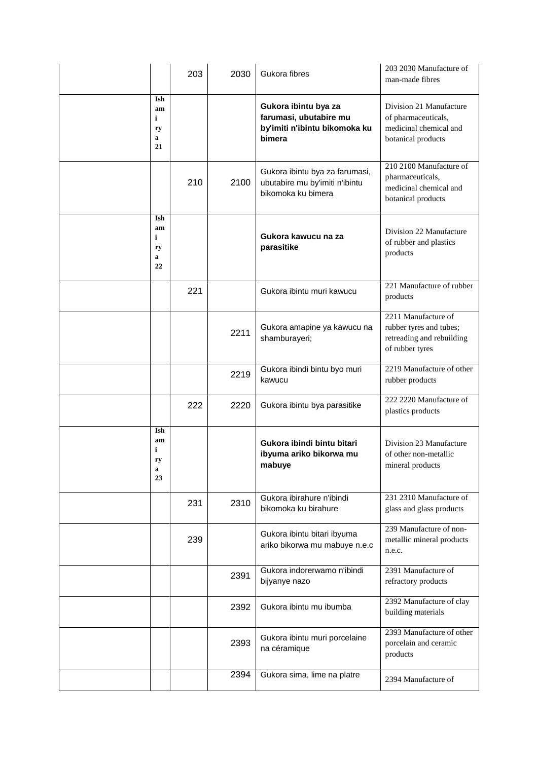|                                           | 203 | 2030 | Gukora fibres                                                                             | 203 2030 Manufacture of<br>man-made fibres                                                     |
|-------------------------------------------|-----|------|-------------------------------------------------------------------------------------------|------------------------------------------------------------------------------------------------|
| Ish<br>am<br>$\mathbf i$<br>ry<br>a<br>21 |     |      | Gukora ibintu bya za<br>farumasi, ubutabire mu<br>by'imiti n'ibintu bikomoka ku<br>bimera | Division 21 Manufacture<br>of pharmaceuticals,<br>medicinal chemical and<br>botanical products |
|                                           | 210 | 2100 | Gukora ibintu bya za farumasi,<br>ubutabire mu by'imiti n'ibintu<br>bikomoka ku bimera    | 210 2100 Manufacture of<br>pharmaceuticals,<br>medicinal chemical and<br>botanical products    |
| Ish<br>am<br>i<br>ry<br>a<br>22           |     |      | Gukora kawucu na za<br>parasitike                                                         | Division 22 Manufacture<br>of rubber and plastics<br>products                                  |
|                                           | 221 |      | Gukora ibintu muri kawucu                                                                 | 221 Manufacture of rubber<br>products                                                          |
|                                           |     | 2211 | Gukora amapine ya kawucu na<br>shamburayeri;                                              | 2211 Manufacture of<br>rubber tyres and tubes;<br>retreading and rebuilding<br>of rubber tyres |
|                                           |     | 2219 | Gukora ibindi bintu byo muri<br>kawucu                                                    | 2219 Manufacture of other<br>rubber products                                                   |
|                                           | 222 | 2220 | Gukora ibintu bya parasitike                                                              | 222 2220 Manufacture of<br>plastics products                                                   |
| Ish<br>am<br>i<br>ry<br>a<br>23           |     |      | Gukora ibindi bintu bitari<br>ibyuma ariko bikorwa mu<br>mabuve                           | Division 23 Manufacture<br>of other non-metallic<br>mineral products                           |
|                                           | 231 | 2310 | Gukora ibirahure n'ibindi<br>bikomoka ku birahure                                         | 231 2310 Manufacture of<br>glass and glass products                                            |
|                                           | 239 |      | Gukora ibintu bitari ibyuma<br>ariko bikorwa mu mabuye n.e.c                              | 239 Manufacture of non-<br>metallic mineral products<br>n.e.c.                                 |
|                                           |     | 2391 | Gukora indorerwamo n'ibindi<br>bijyanye nazo                                              | 2391 Manufacture of<br>refractory products                                                     |
|                                           |     | 2392 | Gukora ibintu mu ibumba                                                                   | 2392 Manufacture of clay<br>building materials                                                 |
|                                           |     | 2393 | Gukora ibintu muri porcelaine<br>na céramique                                             | 2393 Manufacture of other<br>porcelain and ceramic<br>products                                 |
|                                           |     | 2394 | Gukora sima, lime na platre                                                               | 2394 Manufacture of                                                                            |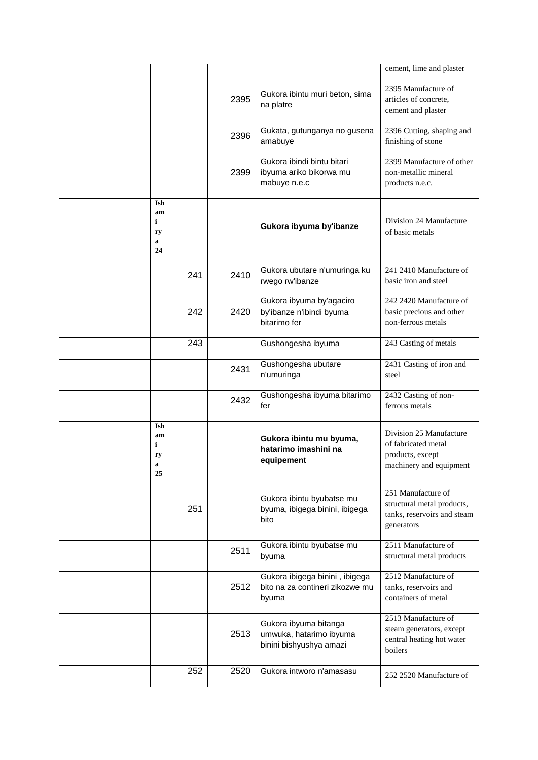|                                 |     |      |                                                                             | cement, lime and plaster                                                                      |
|---------------------------------|-----|------|-----------------------------------------------------------------------------|-----------------------------------------------------------------------------------------------|
|                                 |     | 2395 | Gukora ibintu muri beton, sima<br>na platre                                 | 2395 Manufacture of<br>articles of concrete,<br>cement and plaster                            |
|                                 |     | 2396 | Gukata, gutunganya no gusena<br>amabuye                                     | 2396 Cutting, shaping and<br>finishing of stone                                               |
|                                 |     | 2399 | Gukora ibindi bintu bitari<br>ibyuma ariko bikorwa mu<br>mabuye n.e.c       | 2399 Manufacture of other<br>non-metallic mineral<br>products n.e.c.                          |
| Ish<br>am<br>i<br>ry<br>a<br>24 |     |      | Gukora ibyuma by'ibanze                                                     | Division 24 Manufacture<br>of basic metals                                                    |
|                                 | 241 | 2410 | Gukora ubutare n'umuringa ku<br>rwego rw'ibanze                             | 241 2410 Manufacture of<br>basic iron and steel                                               |
|                                 | 242 | 2420 | Gukora ibyuma by'agaciro<br>by'ibanze n'ibindi byuma<br>bitarimo fer        | 242 2420 Manufacture of<br>basic precious and other<br>non-ferrous metals                     |
|                                 | 243 |      | Gushongesha ibyuma                                                          | 243 Casting of metals                                                                         |
|                                 |     | 2431 | Gushongesha ubutare<br>n'umuringa                                           | 2431 Casting of iron and<br>steel                                                             |
|                                 |     | 2432 | Gushongesha ibyuma bitarimo<br>fer                                          | 2432 Casting of non-<br>ferrous metals                                                        |
| Ish<br>am<br>i<br>ry<br>a<br>25 |     |      | Gukora ibintu mu byuma,<br>hatarimo imashini na<br>equipement               | Division 25 Manufacture<br>of fabricated metal<br>products, except<br>machinery and equipment |
|                                 | 251 |      | Gukora ibintu byubatse mu<br>byuma, ibigega binini, ibigega<br>bito         | 251 Manufacture of<br>structural metal products,<br>tanks, reservoirs and steam<br>generators |
|                                 |     | 2511 | Gukora ibintu byubatse mu<br>byuma                                          | 2511 Manufacture of<br>structural metal products                                              |
|                                 |     | 2512 | Gukora ibigega binini, ibigega<br>bito na za contineri zikozwe mu<br>byuma  | 2512 Manufacture of<br>tanks, reservoirs and<br>containers of metal                           |
|                                 |     | 2513 | Gukora ibyuma bitanga<br>umwuka, hatarimo ibyuma<br>binini bishyushya amazi | 2513 Manufacture of<br>steam generators, except<br>central heating hot water<br>boilers       |
|                                 | 252 | 2520 | Gukora intworo n'amasasu                                                    | 252 2520 Manufacture of                                                                       |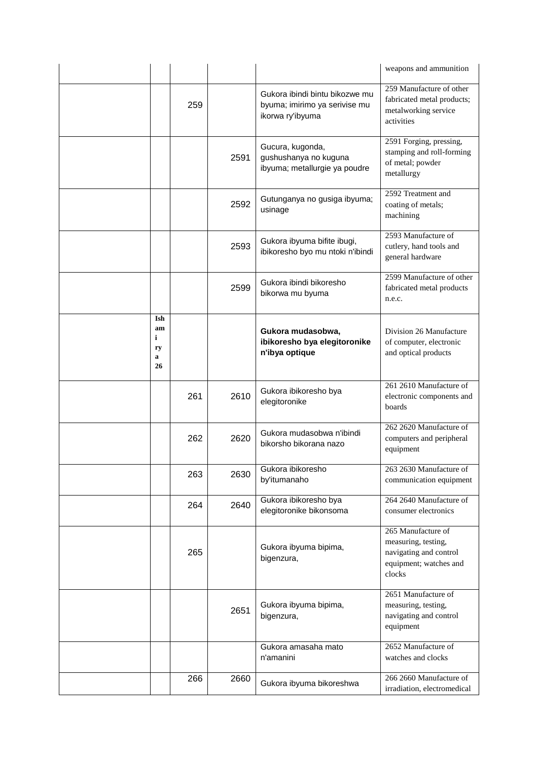|                                 |     |      |                                                                                     | weapons and ammunition                                                                                  |
|---------------------------------|-----|------|-------------------------------------------------------------------------------------|---------------------------------------------------------------------------------------------------------|
|                                 | 259 |      | Gukora ibindi bintu bikozwe mu<br>byuma; imirimo ya serivise mu<br>ikorwa ry'ibyuma | 259 Manufacture of other<br>fabricated metal products;<br>metalworking service<br>activities            |
|                                 |     | 2591 | Gucura, kugonda,<br>gushushanya no kuguna<br>ibyuma; metallurgie ya poudre          | 2591 Forging, pressing,<br>stamping and roll-forming<br>of metal; powder<br>metallurgy                  |
|                                 |     | 2592 | Gutunganya no gusiga ibyuma;<br>usinage                                             | 2592 Treatment and<br>coating of metals;<br>machining                                                   |
|                                 |     | 2593 | Gukora ibyuma bifite ibugi,<br>ibikoresho byo mu ntoki n'ibindi                     | 2593 Manufacture of<br>cutlery, hand tools and<br>general hardware                                      |
|                                 |     | 2599 | Gukora ibindi bikoresho<br>bikorwa mu byuma                                         | 2599 Manufacture of other<br>fabricated metal products<br>n.e.c.                                        |
| Ish<br>am<br>i<br>ry<br>a<br>26 |     |      | Gukora mudasobwa,<br>ibikoresho bya elegitoronike<br>n'ibya optique                 | Division 26 Manufacture<br>of computer, electronic<br>and optical products                              |
|                                 | 261 | 2610 | Gukora ibikoresho bya<br>elegitoronike                                              | 261 2610 Manufacture of<br>electronic components and<br>boards                                          |
|                                 | 262 | 2620 | Gukora mudasobwa n'ibindi<br>bikorsho bikorana nazo                                 | 262 2620 Manufacture of<br>computers and peripheral<br>equipment                                        |
|                                 | 263 | 2630 | Gukora ibikoresho<br>by'itumanaho                                                   | 263 2630 Manufacture of<br>communication equipment                                                      |
|                                 | 264 | 2640 | Gukora ibikoresho bya<br>elegitoronike bikonsoma                                    | 264 2640 Manufacture of<br>consumer electronics                                                         |
|                                 | 265 |      | Gukora ibyuma bipima,<br>bigenzura,                                                 | 265 Manufacture of<br>measuring, testing,<br>navigating and control<br>equipment; watches and<br>clocks |
|                                 |     | 2651 | Gukora ibyuma bipima,<br>bigenzura,                                                 | 2651 Manufacture of<br>measuring, testing,<br>navigating and control<br>equipment                       |
|                                 |     |      | Gukora amasaha mato<br>n'amanini                                                    | 2652 Manufacture of<br>watches and clocks                                                               |
|                                 | 266 | 2660 | Gukora ibyuma bikoreshwa                                                            | 266 2660 Manufacture of<br>irradiation, electromedical                                                  |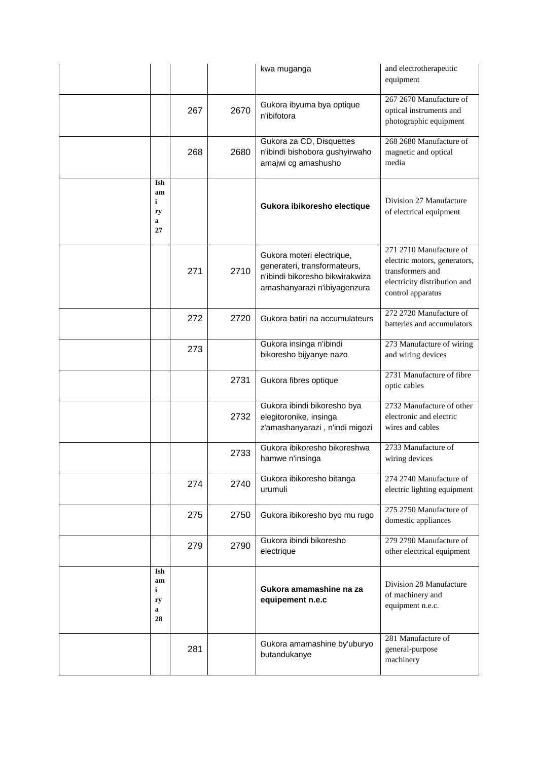|                                 |     |      | kwa muganga                                                                                                                  | and electrotherapeutic<br>equipment                                                                                              |
|---------------------------------|-----|------|------------------------------------------------------------------------------------------------------------------------------|----------------------------------------------------------------------------------------------------------------------------------|
|                                 | 267 | 2670 | Gukora ibyuma bya optique<br>n'ibifotora                                                                                     | 267 2670 Manufacture of<br>optical instruments and<br>photographic equipment                                                     |
|                                 | 268 | 2680 | Gukora za CD, Disquettes<br>n'ibindi bishobora gushyirwaho<br>amajwi cg amashusho                                            | 268 2680 Manufacture of<br>magnetic and optical<br>media                                                                         |
| Ish<br>am<br>i<br>ry<br>a<br>27 |     |      | Gukora ibikoresho electique                                                                                                  | Division 27 Manufacture<br>of electrical equipment                                                                               |
|                                 | 271 | 2710 | Gukora moteri electrique,<br>generateri, transformateurs,<br>n'ibindi bikoresho bikwirakwiza<br>amashanyarazi n'ibiyagenzura | 271 2710 Manufacture of<br>electric motors, generators,<br>transformers and<br>electricity distribution and<br>control apparatus |
|                                 | 272 | 2720 | Gukora batiri na accumulateurs                                                                                               | 272 2720 Manufacture of<br>batteries and accumulators                                                                            |
|                                 | 273 |      | Gukora insinga n'ibindi<br>bikoresho bijyanye nazo                                                                           | 273 Manufacture of wiring<br>and wiring devices                                                                                  |
|                                 |     | 2731 | Gukora fibres optique                                                                                                        | 2731 Manufacture of fibre<br>optic cables                                                                                        |
|                                 |     | 2732 | Gukora ibindi bikoresho bya<br>elegitoronike, insinga<br>z'amashanyarazi, n'indi migozi                                      | 2732 Manufacture of other<br>electronic and electric<br>wires and cables                                                         |
|                                 |     | 2733 | Gukora ibikoresho bikoreshwa<br>hamwe n'insinga                                                                              | 2733 Manufacture of<br>wiring devices                                                                                            |
|                                 | 274 | 2740 | Gukora ibikoresho bitanga<br>urumuli                                                                                         | 274 2740 Manufacture of<br>electric lighting equipment                                                                           |
|                                 | 275 | 2750 | Gukora ibikoresho byo mu rugo                                                                                                | 275 2750 Manufacture of<br>domestic appliances                                                                                   |
|                                 | 279 | 2790 | Gukora ibindi bikoresho<br>electrique                                                                                        | 279 2790 Manufacture of<br>other electrical equipment                                                                            |
| Ish<br>am<br>i<br>ry<br>a<br>28 |     |      | Gukora amamashine na za<br>equipement n.e.c                                                                                  | Division 28 Manufacture<br>of machinery and<br>equipment n.e.c.                                                                  |
|                                 | 281 |      | Gukora amamashine by'uburyo<br>butandukanye                                                                                  | 281 Manufacture of<br>general-purpose<br>machinery                                                                               |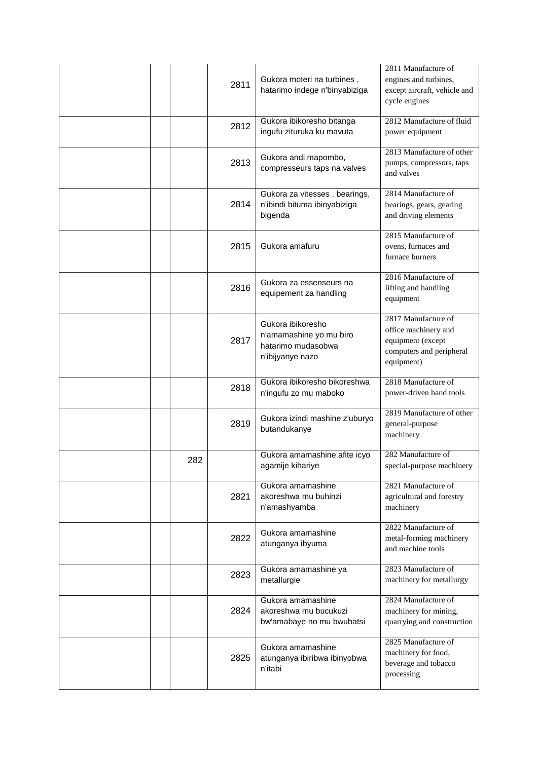|     | 2811 | Gukora moteri na turbines,<br>hatarimo indege n'binyabiziga                            | 2811 Manufacture of<br>engines and turbines,<br>except aircraft, vehicle and<br>cycle engines              |
|-----|------|----------------------------------------------------------------------------------------|------------------------------------------------------------------------------------------------------------|
|     | 2812 | Gukora ibikoresho bitanga<br>ingufu zituruka ku mavuta                                 | 2812 Manufacture of fluid<br>power equipment                                                               |
|     | 2813 | Gukora andi mapombo,<br>compresseurs taps na valves                                    | 2813 Manufacture of other<br>pumps, compressors, taps<br>and valves                                        |
|     | 2814 | Gukora za vitesses, bearings,<br>n'ibindi bituma ibinyabiziga<br>bigenda               | 2814 Manufacture of<br>bearings, gears, gearing<br>and driving elements                                    |
|     | 2815 | Gukora amafuru                                                                         | 2815 Manufacture of<br>ovens, furnaces and<br>furnace burners                                              |
|     | 2816 | Gukora za essenseurs na<br>equipement za handling                                      | 2816 Manufacture of<br>lifting and handling<br>equipment                                                   |
|     | 2817 | Gukora ibikoresho<br>n'amamashine yo mu biro<br>hatarimo mudasobwa<br>n'ibijyanye nazo | 2817 Manufacture of<br>office machinery and<br>equipment (except<br>computers and peripheral<br>equipment) |
|     | 2818 | Gukora ibikoresho bikoreshwa<br>n'ingufu zo mu maboko                                  | 2818 Manufacture of<br>power-driven hand tools                                                             |
|     | 2819 | Gukora izindi mashine z'uburyo<br>butandukanye                                         | 2819 Manufacture of other<br>general-purpose<br>machinery                                                  |
| 282 |      | Gukora amamashine afite icyo<br>agamije kihariye                                       | 282 Manufacture of<br>special-purpose machinery                                                            |
|     | 2821 | Gukora amamashine<br>akoreshwa mu buhinzi<br>n'amashyamba                              | 2821 Manufacture of<br>agricultural and forestry<br>machinery                                              |
|     | 2822 | Gukora amamashine<br>atunganya ibyuma                                                  | 2822 Manufacture of<br>metal-forming machinery<br>and machine tools                                        |
|     | 2823 | Gukora amamashine ya<br>metallurgie                                                    | 2823 Manufacture of<br>machinery for metallurgy                                                            |
|     | 2824 | Gukora amamashine<br>akoreshwa mu bucukuzi<br>bw'amabaye no mu bwubatsi                | 2824 Manufacture of<br>machinery for mining,<br>quarrying and construction                                 |
|     | 2825 | Gukora amamashine<br>atunganya ibiribwa ibinyobwa<br>n'itabi                           | 2825 Manufacture of<br>machinery for food,<br>beverage and tobacco<br>processing                           |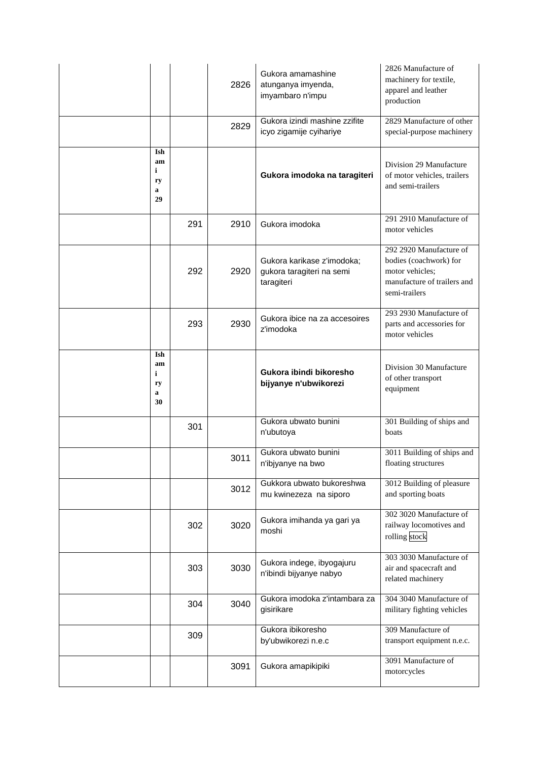|                                 |     | 2826 | Gukora amamashine<br>atunganya imyenda,<br>imyambaro n'impu           | 2826 Manufacture of<br>machinery for textile,<br>apparel and leather<br>production                                   |
|---------------------------------|-----|------|-----------------------------------------------------------------------|----------------------------------------------------------------------------------------------------------------------|
|                                 |     | 2829 | Gukora izindi mashine zzifite<br>icyo zigamije cyihariye              | 2829 Manufacture of other<br>special-purpose machinery                                                               |
| Ish<br>am<br>i<br>ry<br>a<br>29 |     |      | Gukora imodoka na taragiteri                                          | Division 29 Manufacture<br>of motor vehicles, trailers<br>and semi-trailers                                          |
|                                 | 291 | 2910 | Gukora imodoka                                                        | 291 2910 Manufacture of<br>motor vehicles                                                                            |
|                                 | 292 | 2920 | Gukora karikase z'imodoka;<br>gukora taragiteri na semi<br>taragiteri | 292 2920 Manufacture of<br>bodies (coachwork) for<br>motor vehicles;<br>manufacture of trailers and<br>semi-trailers |
|                                 | 293 | 2930 | Gukora ibice na za accesoires<br>z'imodoka                            | 293 2930 Manufacture of<br>parts and accessories for<br>motor vehicles                                               |
| Ish<br>am<br>i<br>ry<br>a<br>30 |     |      | Gukora ibindi bikoresho<br>bijyanye n'ubwikorezi                      | Division 30 Manufacture<br>of other transport<br>equipment                                                           |
|                                 | 301 |      | Gukora ubwato bunini<br>n'ubutoya                                     | 301 Building of ships and<br>boats                                                                                   |
|                                 |     | 3011 | Gukora ubwato bunini<br>n'ibjyanye na bwo                             | 3011 Building of ships and<br>floating structures                                                                    |
|                                 |     | 3012 | Gukkora ubwato bukoreshwa<br>mu kwinezeza na siporo                   | 3012 Building of pleasure<br>and sporting boats                                                                      |
|                                 | 302 | 3020 | Gukora imihanda ya gari ya<br>moshi                                   | 302 3020 Manufacture of<br>railway locomotives and<br>rolling stock                                                  |
|                                 | 303 | 3030 | Gukora indege, ibyogajuru<br>n'ibindi bijyanye nabyo                  | 303 3030 Manufacture of<br>air and spacecraft and<br>related machinery                                               |
|                                 | 304 | 3040 | Gukora imodoka z'intambara za<br>gisirikare                           | 304 3040 Manufacture of<br>military fighting vehicles                                                                |
|                                 | 309 |      | Gukora ibikoresho<br>by'ubwikorezi n.e.c                              | 309 Manufacture of<br>transport equipment n.e.c.                                                                     |
|                                 |     | 3091 | Gukora amapikipiki                                                    | 3091 Manufacture of<br>motorcycles                                                                                   |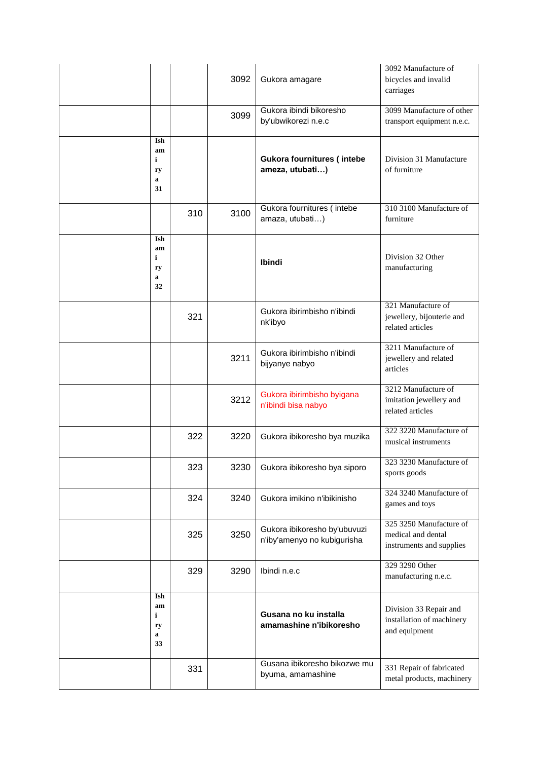|                                 |     | 3092 | Gukora amagare                                              | 3092 Manufacture of<br>bicycles and invalid<br>carriages                  |
|---------------------------------|-----|------|-------------------------------------------------------------|---------------------------------------------------------------------------|
|                                 |     | 3099 | Gukora ibindi bikoresho<br>by'ubwikorezi n.e.c              | 3099 Manufacture of other<br>transport equipment n.e.c.                   |
| Ish<br>am<br>i<br>ry<br>a<br>31 |     |      | Gukora fournitures (intebe<br>ameza, utubati)               | Division 31 Manufacture<br>of furniture                                   |
|                                 | 310 | 3100 | Gukora fournitures (intebe<br>amaza, utubati)               | 310 3100 Manufacture of<br>furniture                                      |
| Ish<br>am<br>i<br>ry<br>a<br>32 |     |      | Ibindi                                                      | Division 32 Other<br>manufacturing                                        |
|                                 | 321 |      | Gukora ibirimbisho n'ibindi<br>nk'ibyo                      | 321 Manufacture of<br>jewellery, bijouterie and<br>related articles       |
|                                 |     | 3211 | Gukora ibirimbisho n'ibindi<br>bijyanye nabyo               | 3211 Manufacture of<br>jewellery and related<br>articles                  |
|                                 |     | 3212 | Gukora ibirimbisho byigana<br>n'ibindi bisa nabyo           | 3212 Manufacture of<br>imitation jewellery and<br>related articles        |
|                                 | 322 | 3220 | Gukora ibikoresho bya muzika                                | 322 3220 Manufacture of<br>musical instruments                            |
|                                 | 323 | 3230 | Gukora ibikoresho bya siporo                                | 323 3230 Manufacture of<br>sports goods                                   |
|                                 | 324 | 3240 | Gukora imikino n'ibikinisho                                 | 324 3240 Manufacture of<br>games and toys                                 |
|                                 | 325 | 3250 | Gukora ibikoresho by'ubuvuzi<br>n'iby'amenyo no kubigurisha | 325 3250 Manufacture of<br>medical and dental<br>instruments and supplies |
|                                 | 329 | 3290 | Ibindi n.e.c                                                | 329 3290 Other<br>manufacturing n.e.c.                                    |
| Ish<br>am<br>i<br>ry<br>a<br>33 |     |      | Gusana no ku installa<br>amamashine n'ibikoresho            | Division 33 Repair and<br>installation of machinery<br>and equipment      |
|                                 | 331 |      | Gusana ibikoresho bikozwe mu<br>byuma, amamashine           | 331 Repair of fabricated<br>metal products, machinery                     |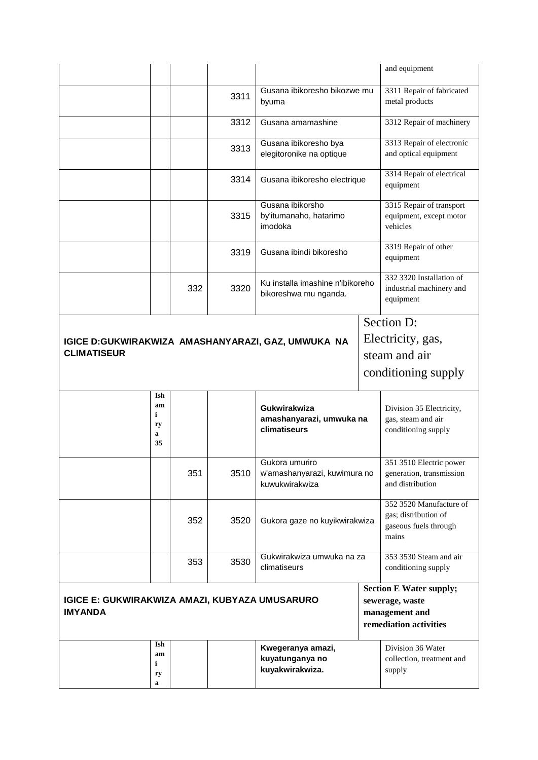|                                                                         |     |      |                                                                  |  | and equipment                                                                                 |
|-------------------------------------------------------------------------|-----|------|------------------------------------------------------------------|--|-----------------------------------------------------------------------------------------------|
|                                                                         |     | 3311 | Gusana ibikoresho bikozwe mu<br>byuma                            |  | 3311 Repair of fabricated<br>metal products                                                   |
|                                                                         |     | 3312 | Gusana amamashine                                                |  | 3312 Repair of machinery                                                                      |
|                                                                         |     | 3313 | Gusana ibikoresho bya<br>elegitoronike na optique                |  | 3313 Repair of electronic<br>and optical equipment                                            |
|                                                                         |     | 3314 | Gusana ibikoresho electrique                                     |  | 3314 Repair of electrical<br>equipment                                                        |
|                                                                         |     | 3315 | Gusana ibikorsho<br>by'itumanaho, hatarimo<br>imodoka            |  | 3315 Repair of transport<br>equipment, except motor<br>vehicles                               |
|                                                                         |     | 3319 | Gusana ibindi bikoresho                                          |  | 3319 Repair of other<br>equipment                                                             |
|                                                                         | 332 | 3320 | Ku installa imashine n'ibikoreho<br>bikoreshwa mu nganda.        |  | 332 3320 Installation of<br>industrial machinery and<br>equipment                             |
|                                                                         |     |      |                                                                  |  | Section D:                                                                                    |
| IGICE D:GUKWIRAKWIZA AMASHANYARAZI, GAZ, UMWUKA NA                      |     |      |                                                                  |  | Electricity, gas,                                                                             |
| <b>CLIMATISEUR</b>                                                      |     |      |                                                                  |  | steam and air                                                                                 |
|                                                                         |     |      |                                                                  |  | conditioning supply                                                                           |
| Ish<br>am<br>i<br>ry<br>a<br>35                                         |     |      | Gukwirakwiza<br>amashanyarazi, umwuka na<br>climatiseurs         |  | Division 35 Electricity,<br>gas, steam and air<br>conditioning supply                         |
|                                                                         | 351 | 3510 | Gukora umuriro<br>w'amashanyarazi, kuwimura no<br>kuwukwirakwiza |  | 351 3510 Electric power<br>generation, transmission<br>and distribution                       |
|                                                                         | 352 | 3520 | Gukora gaze no kuyikwirakwiza                                    |  | 352 3520 Manufacture of<br>gas; distribution of<br>gaseous fuels through<br>mains             |
|                                                                         | 353 | 3530 | Gukwirakwiza umwuka na za<br>climatiseurs                        |  | 353 3530 Steam and air<br>conditioning supply                                                 |
| <b>IGICE E: GUKWIRAKWIZA AMAZI, KUBYAZA UMUSARURO</b><br><b>IMYANDA</b> |     |      |                                                                  |  | <b>Section E Water supply;</b><br>sewerage, waste<br>management and<br>remediation activities |
| Ish<br>am<br>i<br>ry<br>a                                               |     |      | Kwegeranya amazi,<br>kuyatunganya no<br>kuyakwirakwiza.          |  | Division 36 Water<br>collection, treatment and<br>supply                                      |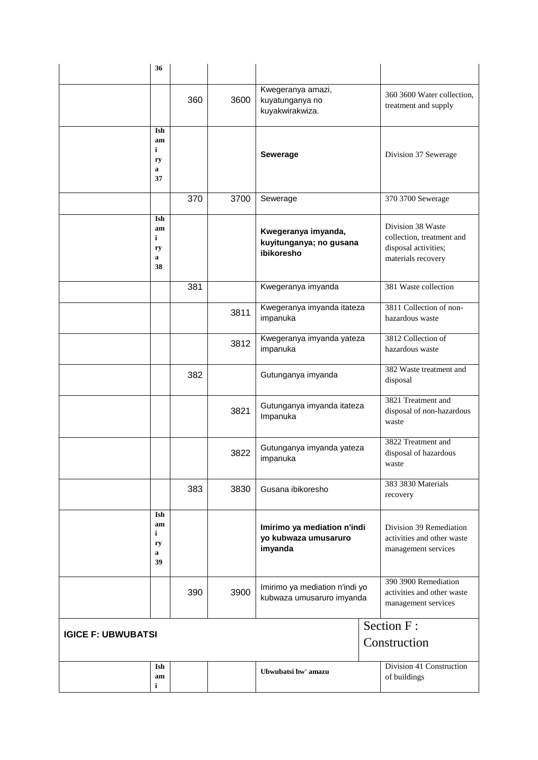| 36                              |     |      |                                                                |                                                                                              |
|---------------------------------|-----|------|----------------------------------------------------------------|----------------------------------------------------------------------------------------------|
|                                 | 360 | 3600 | Kwegeranya amazi,<br>kuyatunganya no<br>kuyakwirakwiza.        | 360 3600 Water collection,<br>treatment and supply                                           |
| Ish<br>am<br>i<br>ry<br>a<br>37 |     |      | Sewerage                                                       | Division 37 Sewerage                                                                         |
|                                 | 370 | 3700 | Sewerage                                                       | 370 3700 Sewerage                                                                            |
| Ish<br>am<br>i<br>ry<br>a<br>38 |     |      | Kwegeranya imyanda,<br>kuyitunganya; no gusana<br>ibikoresho   | Division 38 Waste<br>collection, treatment and<br>disposal activities;<br>materials recovery |
|                                 | 381 |      | Kwegeranya imyanda                                             | 381 Waste collection                                                                         |
|                                 |     | 3811 | Kwegeranya imyanda itateza<br>impanuka                         | 3811 Collection of non-<br>hazardous waste                                                   |
|                                 |     | 3812 | Kwegeranya imyanda yateza<br>impanuka                          | 3812 Collection of<br>hazardous waste                                                        |
|                                 | 382 |      | Gutunganya imyanda                                             | 382 Waste treatment and<br>disposal                                                          |
|                                 |     | 3821 | Gutunganya imyanda itateza<br>Impanuka                         | 3821 Treatment and<br>disposal of non-hazardous<br>waste                                     |
|                                 |     | 3822 | Gutunganya imyanda yateza<br>impanuka                          | 3822 Treatment and<br>disposal of hazardous<br>waste                                         |
|                                 | 383 | 3830 | Gusana ibikoresho                                              | 383 3830 Materials<br>recovery                                                               |
| Ish<br>am<br>i<br>ry<br>a<br>39 |     |      | Imirimo ya mediation n'indi<br>yo kubwaza umusaruro<br>imyanda | Division 39 Remediation<br>activities and other waste<br>management services                 |
|                                 | 390 | 3900 | Imirimo ya mediation n'indi yo<br>kubwaza umusaruro imyanda    | 390 3900 Remediation<br>activities and other waste<br>management services                    |
| <b>IGICE F: UBWUBATSI</b>       |     |      | Section F:<br>Construction                                     |                                                                                              |
| Ish<br>am<br>i                  |     |      | Ubwubatsi bw' amazu                                            | Division 41 Construction<br>of buildings                                                     |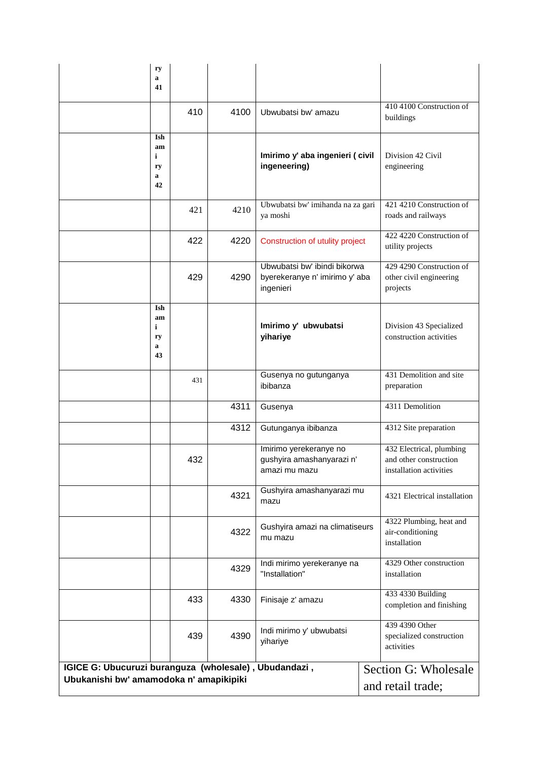|                                                                                                  | ry<br>a<br>41                              |     |      |                                                                             |                                                                               |
|--------------------------------------------------------------------------------------------------|--------------------------------------------|-----|------|-----------------------------------------------------------------------------|-------------------------------------------------------------------------------|
|                                                                                                  |                                            | 410 | 4100 | Ubwubatsi bw' amazu                                                         | 410 4100 Construction of<br>buildings                                         |
|                                                                                                  | Ish<br>am<br>$\mathbf{i}$<br>ry<br>a<br>42 |     |      | Imirimo y' aba ingenieri ( civil<br>ingeneering)                            | Division 42 Civil<br>engineering                                              |
|                                                                                                  |                                            | 421 | 4210 | Ubwubatsi bw' imihanda na za gari<br>ya moshi                               | 421 4210 Construction of<br>roads and railways                                |
|                                                                                                  |                                            | 422 | 4220 | Construction of utulity project                                             | 422 4220 Construction of<br>utility projects                                  |
|                                                                                                  |                                            | 429 | 4290 | Ubwubatsi bw' ibindi bikorwa<br>byerekeranye n' imirimo y' aba<br>ingenieri | 429 4290 Construction of<br>other civil engineering<br>projects               |
|                                                                                                  | Ish<br>am<br>$\mathbf i$<br>ry<br>a<br>43  |     |      | Imirimo y' ubwubatsi<br>yihariye                                            | Division 43 Specialized<br>construction activities                            |
|                                                                                                  |                                            | 431 |      | Gusenya no gutunganya<br>ibibanza                                           | 431 Demolition and site<br>preparation                                        |
|                                                                                                  |                                            |     | 4311 | Gusenya                                                                     | 4311 Demolition                                                               |
|                                                                                                  |                                            |     | 4312 | Gutunganya ibibanza                                                         | 4312 Site preparation                                                         |
|                                                                                                  |                                            | 432 |      | Imirimo yerekeranye no<br>gushyira amashanyarazi n'<br>amazi mu mazu        | 432 Electrical, plumbing<br>and other construction<br>installation activities |
|                                                                                                  |                                            |     | 4321 | Gushyira amashanyarazi mu<br>mazu                                           | 4321 Electrical installation                                                  |
|                                                                                                  |                                            |     | 4322 | Gushyira amazi na climatiseurs<br>mu mazu                                   | 4322 Plumbing, heat and<br>air-conditioning<br>installation                   |
|                                                                                                  |                                            |     | 4329 | Indi mirimo yerekeranye na<br>"Installation"                                | 4329 Other construction<br>installation                                       |
|                                                                                                  |                                            | 433 | 4330 | Finisaje z' amazu                                                           | 433 4330 Building<br>completion and finishing                                 |
|                                                                                                  |                                            | 439 | 4390 | Indi mirimo y' ubwubatsi<br>yihariye                                        | 439 4390 Other<br>specialized construction<br>activities                      |
| IGICE G: Ubucuruzi buranguza (wholesale), Ubudandazi,<br>Ubukanishi bw' amamodoka n' amapikipiki |                                            |     |      |                                                                             | Section G: Wholesale                                                          |
|                                                                                                  |                                            |     |      |                                                                             | and retail trade;                                                             |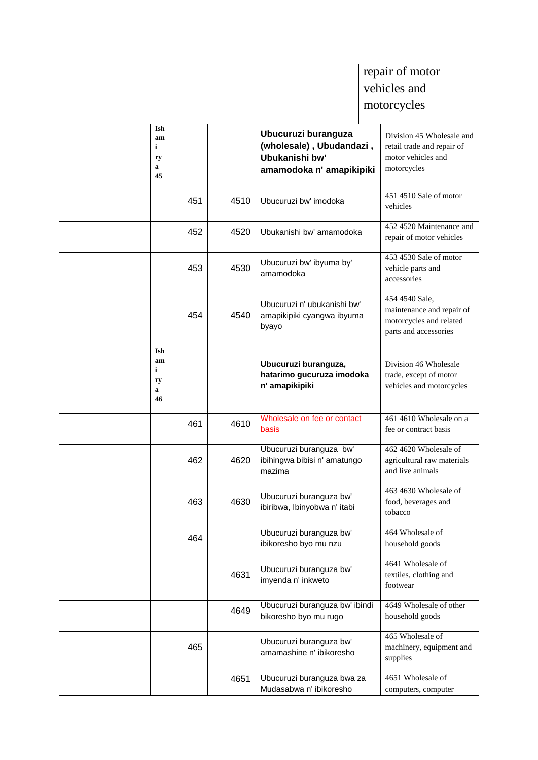|                                           |     |      |                                                                                               | repair of motor                                                                                 |
|-------------------------------------------|-----|------|-----------------------------------------------------------------------------------------------|-------------------------------------------------------------------------------------------------|
|                                           |     |      |                                                                                               | vehicles and                                                                                    |
|                                           |     |      |                                                                                               | motorcycles                                                                                     |
| Ish<br>am<br>$\mathbf i$<br>ry<br>a<br>45 |     |      | Ubucuruzi buranguza<br>(wholesale), Ubudandazi,<br>Ubukanishi bw'<br>amamodoka n' amapikipiki | Division 45 Wholesale and<br>retail trade and repair of<br>motor vehicles and<br>motorcycles    |
|                                           | 451 | 4510 | Ubucuruzi bw' imodoka                                                                         | 451 4510 Sale of motor<br>vehicles                                                              |
|                                           | 452 | 4520 | Ubukanishi bw' amamodoka                                                                      | 452 4520 Maintenance and<br>repair of motor vehicles                                            |
|                                           | 453 | 4530 | Ubucuruzi bw' ibyuma by'<br>amamodoka                                                         | 453 4530 Sale of motor<br>vehicle parts and<br>accessories                                      |
|                                           | 454 | 4540 | Ubucuruzi n' ubukanishi bw'<br>amapikipiki cyangwa ibyuma<br>byayo                            | 454 4540 Sale,<br>maintenance and repair of<br>motorcycles and related<br>parts and accessories |
| Ish<br>am<br>i<br>ry<br>a<br>46           |     |      | Ubucuruzi buranguza,<br>hatarimo gucuruza imodoka<br>n' amapikipiki                           | Division 46 Wholesale<br>trade, except of motor<br>vehicles and motorcycles                     |
|                                           | 461 | 4610 | Wholesale on fee or contact<br>basis                                                          | 461 4610 Wholesale on a<br>fee or contract basis                                                |
|                                           | 462 | 4620 | Ubucuruzi buranguza bw'<br>ibihingwa bibisi n' amatungo<br>mazima                             | 462 4620 Wholesale of<br>agricultural raw materials<br>and live animals                         |
|                                           | 463 | 4630 | Ubucuruzi buranguza bw'<br>ibiribwa, Ibinyobwa n' itabi                                       | 463 4630 Wholesale of<br>food, beverages and<br>tobacco                                         |
|                                           | 464 |      | Ubucuruzi buranguza bw'<br>ibikoresho byo mu nzu                                              | 464 Wholesale of<br>household goods                                                             |
|                                           |     | 4631 | Ubucuruzi buranguza bw'<br>imyenda n' inkweto                                                 | 4641 Wholesale of<br>textiles, clothing and<br>footwear                                         |
|                                           |     | 4649 | Ubucuruzi buranguza bw' ibindi<br>bikoresho byo mu rugo                                       | 4649 Wholesale of other<br>household goods                                                      |
|                                           | 465 |      | Ubucuruzi buranguza bw'<br>amamashine n' ibikoresho                                           | 465 Wholesale of<br>machinery, equipment and<br>supplies                                        |
|                                           |     | 4651 | Ubucuruzi buranguza bwa za<br>Mudasabwa n' ibikoresho                                         | 4651 Wholesale of<br>computers, computer                                                        |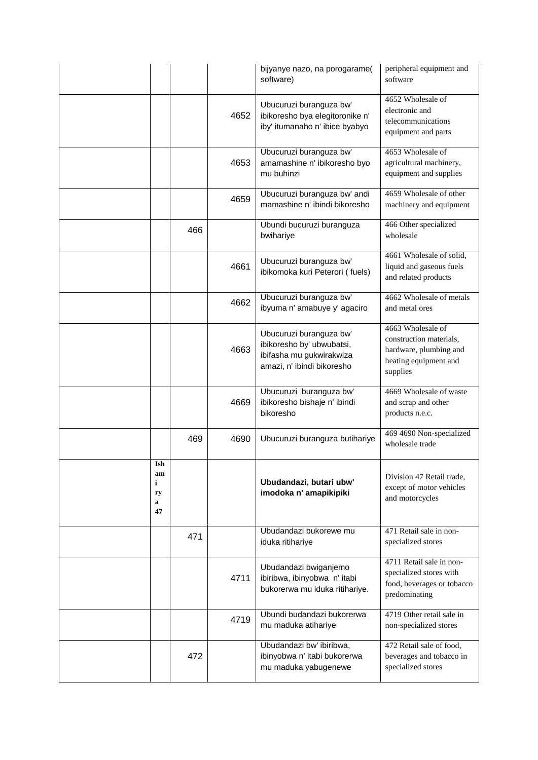|                                 |     |      | bijyanye nazo, na porogarame(<br>software)                                                                     | peripheral equipment and<br>software                                                                        |
|---------------------------------|-----|------|----------------------------------------------------------------------------------------------------------------|-------------------------------------------------------------------------------------------------------------|
|                                 |     | 4652 | Ubucuruzi buranguza bw'<br>ibikoresho bya elegitoronike n'<br>iby' itumanaho n' ibice byabyo                   | 4652 Wholesale of<br>electronic and<br>telecommunications<br>equipment and parts                            |
|                                 |     | 4653 | Ubucuruzi buranguza bw'<br>amamashine n' ibikoresho byo<br>mu buhinzi                                          | 4653 Wholesale of<br>agricultural machinery,<br>equipment and supplies                                      |
|                                 |     | 4659 | Ubucuruzi buranguza bw' andi<br>mamashine n' ibindi bikoresho                                                  | 4659 Wholesale of other<br>machinery and equipment                                                          |
|                                 | 466 |      | Ubundi bucuruzi buranguza<br>bwihariye                                                                         | 466 Other specialized<br>wholesale                                                                          |
|                                 |     | 4661 | Ubucuruzi buranguza bw'<br>ibikomoka kuri Peterori (fuels)                                                     | 4661 Wholesale of solid,<br>liquid and gaseous fuels<br>and related products                                |
|                                 |     | 4662 | Ubucuruzi buranguza bw'<br>ibyuma n' amabuye y' agaciro                                                        | 4662 Wholesale of metals<br>and metal ores                                                                  |
|                                 |     | 4663 | Ubucuruzi buranguza bw'<br>ibikoresho by' ubwubatsi,<br>ibifasha mu gukwirakwiza<br>amazi, n' ibindi bikoresho | 4663 Wholesale of<br>construction materials,<br>hardware, plumbing and<br>heating equipment and<br>supplies |
|                                 |     | 4669 | Ubucuruzi buranguza bw'<br>ibikoresho bishaje n' ibindi<br>bikoresho                                           | 4669 Wholesale of waste<br>and scrap and other<br>products n.e.c.                                           |
|                                 | 469 | 4690 | Ubucuruzi buranguza butihariye                                                                                 | 469 4690 Non-specialized<br>wholesale trade                                                                 |
| Ish<br>am<br>i<br>ry<br>a<br>47 |     |      | Ubudandazi, butari ubw'<br>imodoka n' amapikipiki                                                              | Division 47 Retail trade,<br>except of motor vehicles<br>and motorcycles                                    |
|                                 | 471 |      | Ubudandazi bukorewe mu<br>iduka ritihariye                                                                     | 471 Retail sale in non-<br>specialized stores                                                               |
|                                 |     | 4711 | Ubudandazi bwiganjemo<br>ibiribwa, ibinyobwa n' itabi<br>bukorerwa mu iduka ritihariye.                        | 4711 Retail sale in non-<br>specialized stores with<br>food, beverages or tobacco<br>predominating          |
|                                 |     | 4719 | Ubundi budandazi bukorerwa<br>mu maduka atihariye                                                              | 4719 Other retail sale in<br>non-specialized stores                                                         |
|                                 | 472 |      | Ubudandazi bw' ibiribwa,<br>ibinyobwa n' itabi bukorerwa<br>mu maduka yabugenewe                               | 472 Retail sale of food,<br>beverages and tobacco in<br>specialized stores                                  |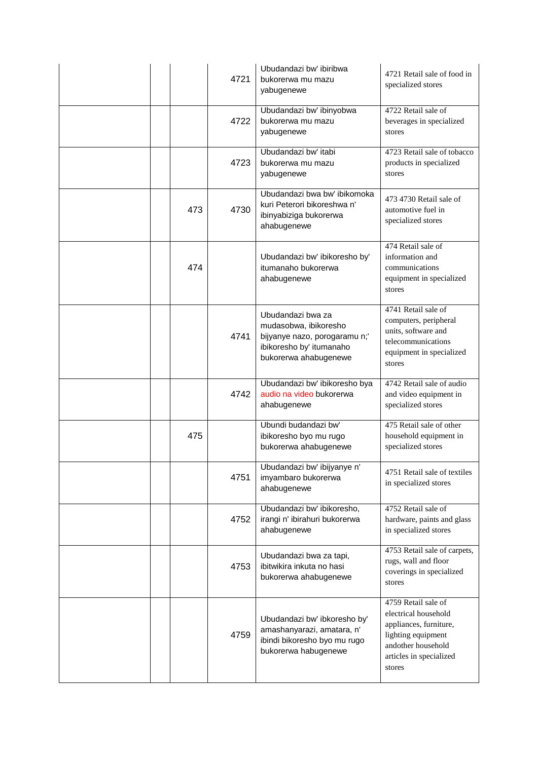|     | 4721 | Ubudandazi bw' ibiribwa<br>bukorerwa mu mazu<br>yabugenewe                                                                       | 4721 Retail sale of food in<br>specialized stores                                                                                                      |
|-----|------|----------------------------------------------------------------------------------------------------------------------------------|--------------------------------------------------------------------------------------------------------------------------------------------------------|
|     | 4722 | Ubudandazi bw' ibinyobwa<br>bukorerwa mu mazu<br>yabugenewe                                                                      | 4722 Retail sale of<br>beverages in specialized<br>stores                                                                                              |
|     | 4723 | Ubudandazi bw' itabi<br>bukorerwa mu mazu<br>yabugenewe                                                                          | 4723 Retail sale of tobacco<br>products in specialized<br>stores                                                                                       |
| 473 | 4730 | Ubudandazi bwa bw' ibikomoka<br>kuri Peterori bikoreshwa n'<br>ibinyabiziga bukorerwa<br>ahabugenewe                             | 473 4730 Retail sale of<br>automotive fuel in<br>specialized stores                                                                                    |
| 474 |      | Ubudandazi bw' ibikoresho by'<br>itumanaho bukorerwa<br>ahabugenewe                                                              | 474 Retail sale of<br>information and<br>communications<br>equipment in specialized<br>stores                                                          |
|     | 4741 | Ubudandazi bwa za<br>mudasobwa, ibikoresho<br>bijyanye nazo, porogaramu n;'<br>ibikoresho by' itumanaho<br>bukorerwa ahabugenewe | 4741 Retail sale of<br>computers, peripheral<br>units, software and<br>telecommunications<br>equipment in specialized<br>stores                        |
|     | 4742 | Ubudandazi bw' ibikoresho bya<br>audio na video bukorerwa<br>ahabugenewe                                                         | 4742 Retail sale of audio<br>and video equipment in<br>specialized stores                                                                              |
| 475 |      | Ubundi budandazi bw'<br>ibikoresho byo mu rugo<br>bukorerwa ahabugenewe                                                          | 475 Retail sale of other<br>household equipment in<br>specialized stores                                                                               |
|     | 4751 | Ubudandazi bw' ibijyanye n'<br>imyambaro bukorerwa<br>ahabugenewe                                                                | 4751 Retail sale of textiles<br>in specialized stores                                                                                                  |
|     | 4752 | Ubudandazi bw' ibikoresho,<br>irangi n' ibirahuri bukorerwa<br>ahabugenewe                                                       | 4752 Retail sale of<br>hardware, paints and glass<br>in specialized stores                                                                             |
|     | 4753 | Ubudandazi bwa za tapi,<br>ibitwikira inkuta no hasi<br>bukorerwa ahabugenewe                                                    | 4753 Retail sale of carpets,<br>rugs, wall and floor<br>coverings in specialized<br>stores                                                             |
|     | 4759 | Ubudandazi bw' ibkoresho by'<br>amashanyarazi, amatara, n'<br>ibindi bikoresho byo mu rugo<br>bukorerwa habugenewe               | 4759 Retail sale of<br>electrical household<br>appliances, furniture,<br>lighting equipment<br>andother household<br>articles in specialized<br>stores |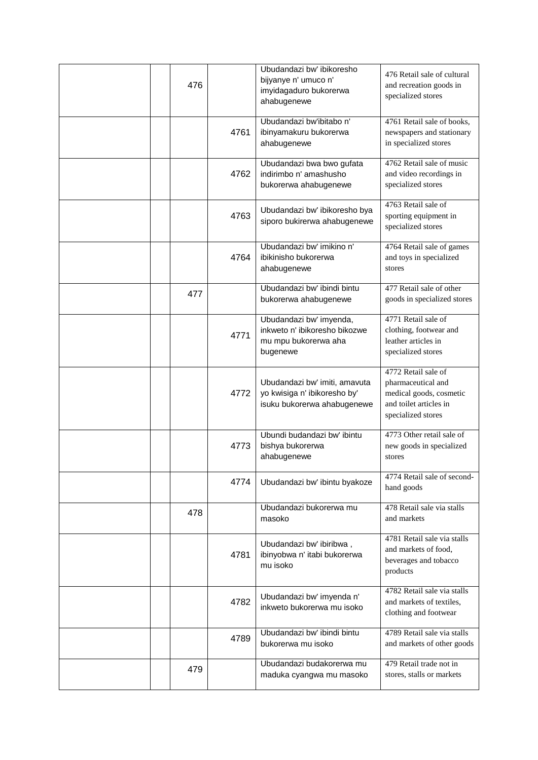| 476 |      | Ubudandazi bw' ibikoresho<br>bijyanye n' umuco n'<br>imyidagaduro bukorerwa<br>ahabugenewe   | 476 Retail sale of cultural<br>and recreation goods in<br>specialized stores                                         |
|-----|------|----------------------------------------------------------------------------------------------|----------------------------------------------------------------------------------------------------------------------|
|     | 4761 | Ubudandazi bw'ibitabo n'<br>ibinyamakuru bukorerwa<br>ahabugenewe                            | 4761 Retail sale of books,<br>newspapers and stationary<br>in specialized stores                                     |
|     | 4762 | Ubudandazi bwa bwo gufata<br>indirimbo n' amashusho<br>bukorerwa ahabugenewe                 | 4762 Retail sale of music<br>and video recordings in<br>specialized stores                                           |
|     | 4763 | Ubudandazi bw' ibikoresho bya<br>siporo bukirerwa ahabugenewe                                | 4763 Retail sale of<br>sporting equipment in<br>specialized stores                                                   |
|     | 4764 | Ubudandazi bw' imikino n'<br>ibikinisho bukorerwa<br>ahabugenewe                             | 4764 Retail sale of games<br>and toys in specialized<br>stores                                                       |
| 477 |      | Ubudandazi bw' ibindi bintu<br>bukorerwa ahabugenewe                                         | 477 Retail sale of other<br>goods in specialized stores                                                              |
|     | 4771 | Ubudandazi bw' imyenda,<br>inkweto n' ibikoresho bikozwe<br>mu mpu bukorerwa aha<br>bugenewe | 4771 Retail sale of<br>clothing, footwear and<br>leather articles in<br>specialized stores                           |
|     | 4772 | Ubudandazi bw' imiti, amavuta<br>yo kwisiga n' ibikoresho by'<br>isuku bukorerwa ahabugenewe | 4772 Retail sale of<br>pharmaceutical and<br>medical goods, cosmetic<br>and toilet articles in<br>specialized stores |
|     | 4773 | Ubundi budandazi bw' ibintu<br>bishya bukorerwa<br>ahabugenewe                               | 4773 Other retail sale of<br>new goods in specialized<br>stores                                                      |
|     | 4774 | Ubudandazi bw' ibintu byakoze                                                                | 4774 Retail sale of second-<br>hand goods                                                                            |
| 478 |      | Ubudandazi bukorerwa mu<br>masoko                                                            | 478 Retail sale via stalls<br>and markets                                                                            |
|     | 4781 | Ubudandazi bw' ibiribwa,<br>ibinyobwa n' itabi bukorerwa<br>mu isoko                         | 4781 Retail sale via stalls<br>and markets of food,<br>beverages and tobacco<br>products                             |
|     | 4782 | Ubudandazi bw' imyenda n'<br>inkweto bukorerwa mu isoko                                      | 4782 Retail sale via stalls<br>and markets of textiles,<br>clothing and footwear                                     |
|     | 4789 | Ubudandazi bw' ibindi bintu<br>bukorerwa mu isoko                                            | 4789 Retail sale via stalls<br>and markets of other goods                                                            |
| 479 |      | Ubudandazi budakorerwa mu<br>maduka cyangwa mu masoko                                        | 479 Retail trade not in<br>stores, stalls or markets                                                                 |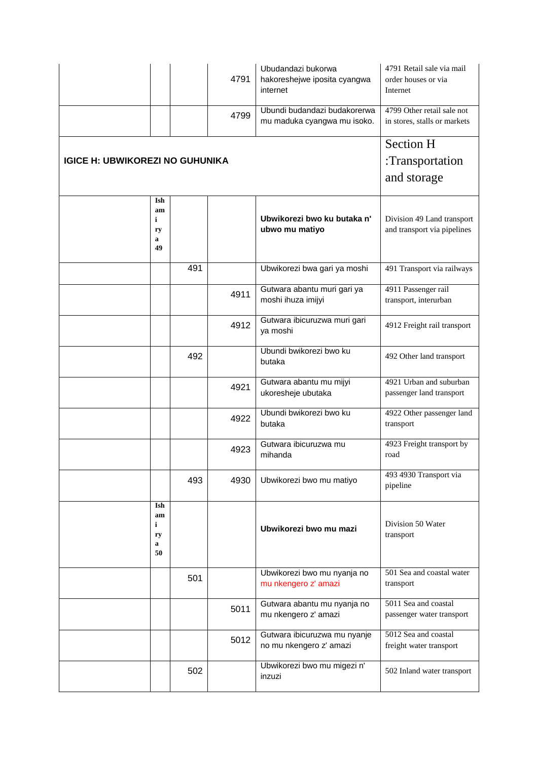|                                        |                                                    | 4791 | Ubudandazi bukorwa<br>hakoreshejwe iposita cyangwa<br>internet | 4791 Retail sale via mail<br>order houses or via<br>Internet |
|----------------------------------------|----------------------------------------------------|------|----------------------------------------------------------------|--------------------------------------------------------------|
|                                        |                                                    | 4799 | Ubundi budandazi budakorerwa<br>mu maduka cyangwa mu isoko.    | 4799 Other retail sale not<br>in stores, stalls or markets   |
| <b>IGICE H: UBWIKOREZI NO GUHUNIKA</b> | <b>Section H</b><br>:Transportation<br>and storage |      |                                                                |                                                              |
| Ish<br>am<br>i<br>ry<br>a<br>49        |                                                    |      | Ubwikorezi bwo ku butaka n'<br>ubwo mu matiyo                  | Division 49 Land transport<br>and transport via pipelines    |
|                                        | 491                                                |      | Ubwikorezi bwa gari ya moshi                                   | 491 Transport via railways                                   |
|                                        |                                                    | 4911 | Gutwara abantu muri gari ya<br>moshi ihuza imijyi              | 4911 Passenger rail<br>transport, interurban                 |
|                                        |                                                    | 4912 | Gutwara ibicuruzwa muri gari<br>ya moshi                       | 4912 Freight rail transport                                  |
|                                        | 492                                                |      | Ubundi bwikorezi bwo ku<br>butaka                              | 492 Other land transport                                     |
|                                        |                                                    | 4921 | Gutwara abantu mu mijyi<br>ukoresheje ubutaka                  | 4921 Urban and suburban<br>passenger land transport          |
|                                        |                                                    | 4922 | Ubundi bwikorezi bwo ku<br>butaka                              | 4922 Other passenger land<br>transport                       |
|                                        |                                                    | 4923 | Gutwara ibicuruzwa mu<br>mihanda                               | 4923 Freight transport by<br>road                            |
|                                        | 493                                                | 4930 | Ubwikorezi bwo mu matiyo                                       | 493 4930 Transport via<br>pipeline                           |
| Ish<br>am<br>i<br>ry<br>a<br>50        |                                                    |      | Ubwikorezi bwo mu mazi                                         | Division 50 Water<br>transport                               |
|                                        | 501                                                |      | Ubwikorezi bwo mu nyanja no<br>mu nkengero z' amazi            | 501 Sea and coastal water<br>transport                       |
|                                        |                                                    | 5011 | Gutwara abantu mu nyanja no<br>mu nkengero z' amazi            | 5011 Sea and coastal<br>passenger water transport            |
|                                        |                                                    | 5012 | Gutwara ibicuruzwa mu nyanje<br>no mu nkengero z' amazi        | 5012 Sea and coastal<br>freight water transport              |
|                                        | 502                                                |      | Ubwikorezi bwo mu migezi n'<br>inzuzi                          | 502 Inland water transport                                   |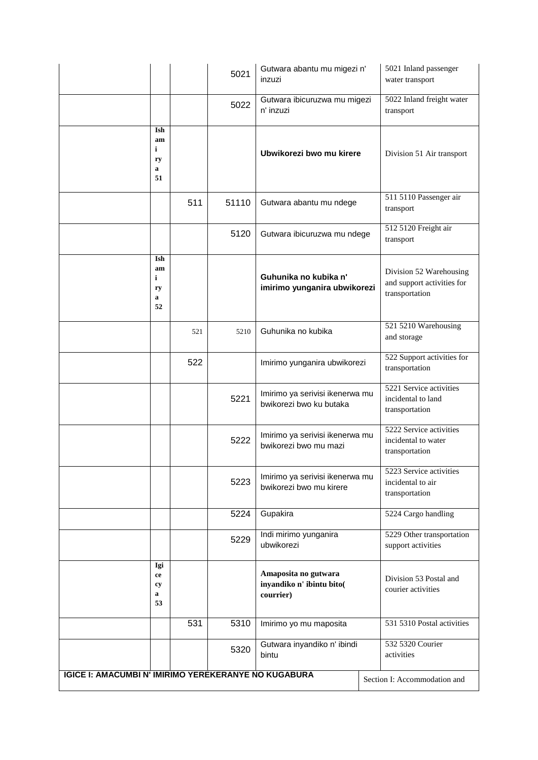|                                                             |     | 5021  | Gutwara abantu mu migezi n'<br>inzuzi                          | 5021 Inland passenger<br>water transport                                |
|-------------------------------------------------------------|-----|-------|----------------------------------------------------------------|-------------------------------------------------------------------------|
|                                                             |     | 5022  | Gutwara ibicuruzwa mu migezi<br>n' inzuzi                      | 5022 Inland freight water<br>transport                                  |
| Ish<br>am<br>i<br>ry<br>a<br>51                             |     |       | Ubwikorezi bwo mu kirere                                       | Division 51 Air transport                                               |
|                                                             | 511 | 51110 | Gutwara abantu mu ndege                                        | 511 5110 Passenger air<br>transport                                     |
|                                                             |     | 5120  | Gutwara ibicuruzwa mu ndege                                    | 512 5120 Freight air<br>transport                                       |
| Ish<br>am<br>i<br>ry<br>a<br>52                             |     |       | Guhunika no kubika n'<br>imirimo yunganira ubwikorezi          | Division 52 Warehousing<br>and support activities for<br>transportation |
|                                                             | 521 | 5210  | Guhunika no kubika                                             | 521 5210 Warehousing<br>and storage                                     |
|                                                             | 522 |       | Imirimo yunganira ubwikorezi                                   | 522 Support activities for<br>transportation                            |
|                                                             |     | 5221  | Imirimo ya serivisi ikenerwa mu<br>bwikorezi bwo ku butaka     | 5221 Service activities<br>incidental to land<br>transportation         |
|                                                             |     | 5222  | Imirimo ya serivisi ikenerwa mu<br>bwikorezi bwo mu mazi       | 5222 Service activities<br>incidental to water<br>transportation        |
|                                                             |     | 5223  | Imirimo ya serivisi ikenerwa mu<br>bwikorezi bwo mu kirere     | 5223 Service activities<br>incidental to air<br>transportation          |
|                                                             |     | 5224  | Gupakira                                                       | 5224 Cargo handling                                                     |
|                                                             |     | 5229  | Indi mirimo yunganira<br>ubwikorezi                            | 5229 Other transportation<br>support activities                         |
| Igi<br>ce<br>cy<br>a<br>53                                  |     |       | Amaposita no gutwara<br>inyandiko n' ibintu bito(<br>courrier) | Division 53 Postal and<br>courier activities                            |
|                                                             | 531 | 5310  | Imirimo yo mu maposita                                         | 531 5310 Postal activities                                              |
|                                                             |     | 5320  | Gutwara inyandiko n' ibindi<br>bintu                           | 532 5320 Courier<br>activities                                          |
| <b>IGICE I: AMACUMBI N' IMIRIMO YEREKERANYE NO KUGABURA</b> |     |       |                                                                | Section I: Accommodation and                                            |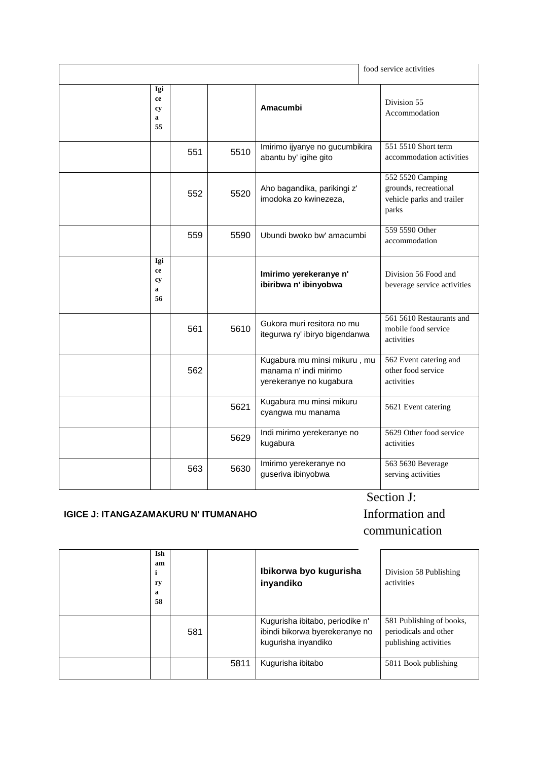|                            |     |      |                                                                                  | food service activities                                                         |
|----------------------------|-----|------|----------------------------------------------------------------------------------|---------------------------------------------------------------------------------|
| Igi<br>ce<br>cy<br>a<br>55 |     |      | Amacumbi                                                                         | Division 55<br>Accommodation                                                    |
|                            | 551 | 5510 | Imirimo ijyanye no gucumbikira<br>abantu by' igihe gito                          | 551 5510 Short term<br>accommodation activities                                 |
|                            | 552 | 5520 | Aho bagandika, parikingi z'<br>imodoka zo kwinezeza,                             | 552 5520 Camping<br>grounds, recreational<br>vehicle parks and trailer<br>parks |
|                            | 559 | 5590 | Ubundi bwoko bw' amacumbi                                                        | 559 5590 Other<br>accommodation                                                 |
| Igi<br>ce<br>cy<br>a<br>56 |     |      | Imirimo yerekeranye n'<br>ibiribwa n' ibinyobwa                                  | Division 56 Food and<br>beverage service activities                             |
|                            | 561 | 5610 | Gukora muri resitora no mu<br>itegurwa ry' ibiryo bigendanwa                     | 561 5610 Restaurants and<br>mobile food service<br>activities                   |
|                            | 562 |      | Kugabura mu minsi mikuru, mu<br>manama n' indi mirimo<br>yerekeranye no kugabura | 562 Event catering and<br>other food service<br>activities                      |
|                            |     | 5621 | Kugabura mu minsi mikuru<br>cyangwa mu manama                                    | 5621 Event catering                                                             |
|                            |     | 5629 | Indi mirimo yerekeranye no<br>kugabura                                           | 5629 Other food service<br>activities                                           |
|                            | 563 | 5630 | Imirimo yerekeranye no<br>guseriva ibinyobwa                                     | 563 5630 Beverage<br>serving activities                                         |

#### **IGICE J: ITANGAZAMAKURU N' ITUMANAHO**

## Section J: Information and

# communication

| Ish<br>am<br>ı<br>ry<br>a<br>58 |     |      | Ibikorwa byo kugurisha<br>inyandiko                                                      | Division 58 Publishing<br>activities                                       |
|---------------------------------|-----|------|------------------------------------------------------------------------------------------|----------------------------------------------------------------------------|
|                                 | 581 |      | Kugurisha ibitabo, periodike n'<br>ibindi bikorwa byerekeranye no<br>kugurisha inyandiko | 581 Publishing of books,<br>periodicals and other<br>publishing activities |
|                                 |     | 5811 | Kugurisha ibitabo                                                                        | 5811 Book publishing                                                       |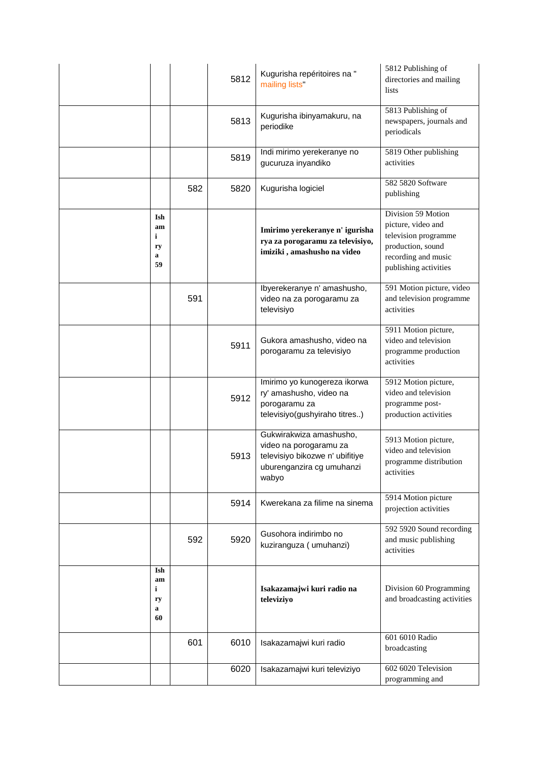|                                 |     | 5812 | Kugurisha repéritoires na "<br>mailing lists                                                                               | 5812 Publishing of<br>directories and mailing<br>lists                                                                                |
|---------------------------------|-----|------|----------------------------------------------------------------------------------------------------------------------------|---------------------------------------------------------------------------------------------------------------------------------------|
|                                 |     | 5813 | Kugurisha ibinyamakuru, na<br>periodike                                                                                    | 5813 Publishing of<br>newspapers, journals and<br>periodicals                                                                         |
|                                 |     | 5819 | Indi mirimo yerekeranye no<br>gucuruza inyandiko                                                                           | 5819 Other publishing<br>activities                                                                                                   |
|                                 | 582 | 5820 | Kugurisha logiciel                                                                                                         | 582 5820 Software<br>publishing                                                                                                       |
| Ish<br>am<br>i<br>ry<br>a<br>59 |     |      | Imirimo yerekeranye n' igurisha<br>rya za porogaramu za televisiyo,<br>imiziki, amashusho na video                         | Division 59 Motion<br>picture, video and<br>television programme<br>production, sound<br>recording and music<br>publishing activities |
|                                 | 591 |      | Ibyerekeranye n' amashusho,<br>video na za porogaramu za<br>televisiyo                                                     | 591 Motion picture, video<br>and television programme<br>activities                                                                   |
|                                 |     | 5911 | Gukora amashusho, video na<br>porogaramu za televisiyo                                                                     | 5911 Motion picture,<br>video and television<br>programme production<br>activities                                                    |
|                                 |     | 5912 | Imirimo yo kunogereza ikorwa<br>ry' amashusho, video na<br>porogaramu za<br>televisiyo(gushyiraho titres)                  | 5912 Motion picture,<br>video and television<br>programme post-<br>production activities                                              |
|                                 |     | 5913 | Gukwirakwiza amashusho,<br>video na porogaramu za<br>televisiyo bikozwe n' ubifitiye<br>uburenganzira cg umuhanzi<br>wabyo | 5913 Motion picture,<br>video and television<br>programme distribution<br>activities                                                  |
|                                 |     | 5914 | Kwerekana za filime na sinema                                                                                              | 5914 Motion picture<br>projection activities                                                                                          |
|                                 | 592 | 5920 | Gusohora indirimbo no<br>kuziranguza (umuhanzi)                                                                            | 592 5920 Sound recording<br>and music publishing<br>activities                                                                        |
| Ish<br>am<br>i<br>ry<br>a<br>60 |     |      | Isakazamajwi kuri radio na<br>televiziyo                                                                                   | Division 60 Programming<br>and broadcasting activities                                                                                |
|                                 | 601 | 6010 | Isakazamajwi kuri radio                                                                                                    | 601 6010 Radio<br>broadcasting                                                                                                        |
|                                 |     | 6020 | Isakazamajwi kuri televiziyo                                                                                               | 602 6020 Television<br>programming and                                                                                                |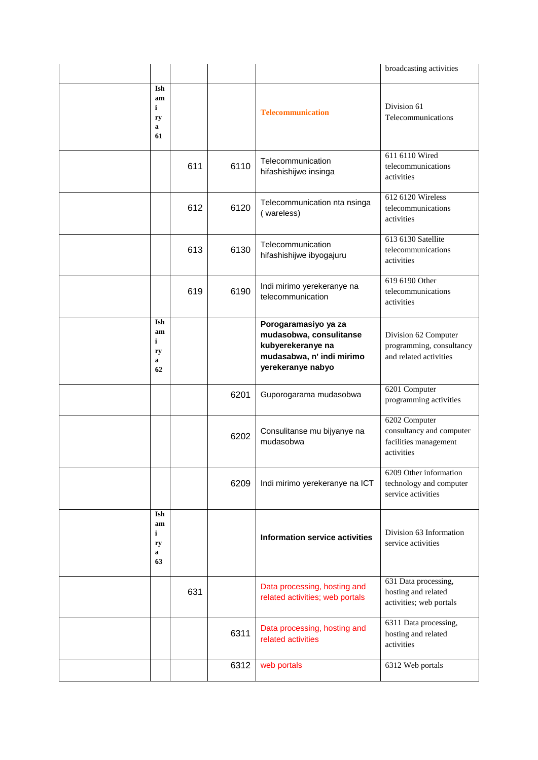|                                            |     |      |                                                                                                                        | broadcasting activities                                                          |
|--------------------------------------------|-----|------|------------------------------------------------------------------------------------------------------------------------|----------------------------------------------------------------------------------|
| Ish<br>am<br>$\mathbf{i}$<br>ry<br>a<br>61 |     |      | <b>Telecommunication</b>                                                                                               | Division 61<br>Telecommunications                                                |
|                                            | 611 | 6110 | Telecommunication<br>hifashishijwe insinga                                                                             | 611 6110 Wired<br>telecommunications<br>activities                               |
|                                            | 612 | 6120 | Telecommunication nta nsinga<br>(wareless)                                                                             | 612 6120 Wireless<br>telecommunications<br>activities                            |
|                                            | 613 | 6130 | Telecommunication<br>hifashishijwe ibyogajuru                                                                          | 613 6130 Satellite<br>telecommunications<br>activities                           |
|                                            | 619 | 6190 | Indi mirimo yerekeranye na<br>telecommunication                                                                        | 619 6190 Other<br>telecommunications<br>activities                               |
| Ish<br>am<br>i<br>ry<br>a<br>62            |     |      | Porogaramasiyo ya za<br>mudasobwa, consulitanse<br>kubyerekeranye na<br>mudasabwa, n' indi mirimo<br>yerekeranye nabyo | Division 62 Computer<br>programming, consultancy<br>and related activities       |
|                                            |     | 6201 | Guporogarama mudasobwa                                                                                                 | 6201 Computer<br>programming activities                                          |
|                                            |     | 6202 | Consulitanse mu bijyanye na<br>mudasobwa                                                                               | 6202 Computer<br>consultancy and computer<br>facilities management<br>activities |
|                                            |     | 6209 | Indi mirimo yerekeranye na ICT                                                                                         | 6209 Other information<br>technology and computer<br>service activities          |
| Ish<br>am<br>i<br>ry<br>a<br>63            |     |      | <b>Information service activities</b>                                                                                  | Division 63 Information<br>service activities                                    |
|                                            | 631 |      | Data processing, hosting and<br>related activities; web portals                                                        | 631 Data processing,<br>hosting and related<br>activities; web portals           |
|                                            |     | 6311 | Data processing, hosting and<br>related activities                                                                     | 6311 Data processing,<br>hosting and related<br>activities                       |
|                                            |     | 6312 | web portals                                                                                                            | 6312 Web portals                                                                 |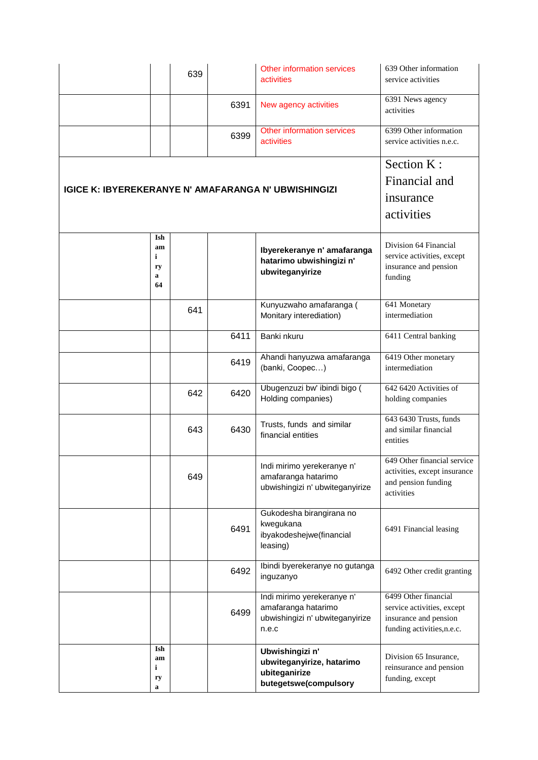|                                                             | 639 |      | Other information services<br><b>activities</b>                                               | 639 Other information<br>service activities                                                               |
|-------------------------------------------------------------|-----|------|-----------------------------------------------------------------------------------------------|-----------------------------------------------------------------------------------------------------------|
|                                                             |     | 6391 | New agency activities                                                                         | 6391 News agency<br>activities                                                                            |
|                                                             |     | 6399 | Other information services<br>activities                                                      | 6399 Other information<br>service activities n.e.c.                                                       |
|                                                             |     |      |                                                                                               | Section K:                                                                                                |
| <b>IGICE K: IBYEREKERANYE N' AMAFARANGA N' UBWISHINGIZI</b> |     |      |                                                                                               | Financial and                                                                                             |
|                                                             |     |      |                                                                                               | insurance                                                                                                 |
|                                                             |     |      |                                                                                               | activities                                                                                                |
| Ish<br>am<br>i<br>ry<br>a<br>64                             |     |      | Ibyerekeranye n' amafaranga<br>hatarimo ubwishingizi n'<br>ubwiteganyirize                    | Division 64 Financial<br>service activities, except<br>insurance and pension<br>funding                   |
|                                                             | 641 |      | Kunyuzwaho amafaranga (<br>Monitary interediation)                                            | 641 Monetary<br>intermediation                                                                            |
|                                                             |     | 6411 | Banki nkuru                                                                                   | 6411 Central banking                                                                                      |
|                                                             |     | 6419 | Ahandi hanyuzwa amafaranga<br>(banki, Coopec)                                                 | 6419 Other monetary<br>intermediation                                                                     |
|                                                             | 642 | 6420 | Ubugenzuzi bw' ibindi bigo (<br>Holding companies)                                            | 642 6420 Activities of<br>holding companies                                                               |
|                                                             | 643 | 6430 | Trusts, funds and similar<br>financial entities                                               | 643 6430 Trusts, funds<br>and similar financial<br>entities                                               |
|                                                             | 649 |      | Indi mirimo yerekeranye n'<br>amafaranga hatarimo<br>ubwishingizi n' ubwiteganyirize          | 649 Other financial service<br>activities, except insurance<br>and pension funding<br>activities          |
|                                                             |     | 6491 | Gukodesha birangirana no<br>kwegukana<br>ibyakodeshejwe(financial<br>leasing)                 | 6491 Financial leasing                                                                                    |
|                                                             |     | 6492 | Ibindi byerekeranye no gutanga<br>inguzanyo                                                   | 6492 Other credit granting                                                                                |
|                                                             |     | 6499 | Indi mirimo yerekeranye n'<br>amafaranga hatarimo<br>ubwishingizi n' ubwiteganyirize<br>n.e.c | 6499 Other financial<br>service activities, except<br>insurance and pension<br>funding activities, n.e.c. |
| Ish<br>am<br>i<br>ry<br>a                                   |     |      | Ubwishingizi n'<br>ubwiteganyirize, hatarimo<br>ubiteganirize<br>butegetswe(compulsory        | Division 65 Insurance,<br>reinsurance and pension<br>funding, except                                      |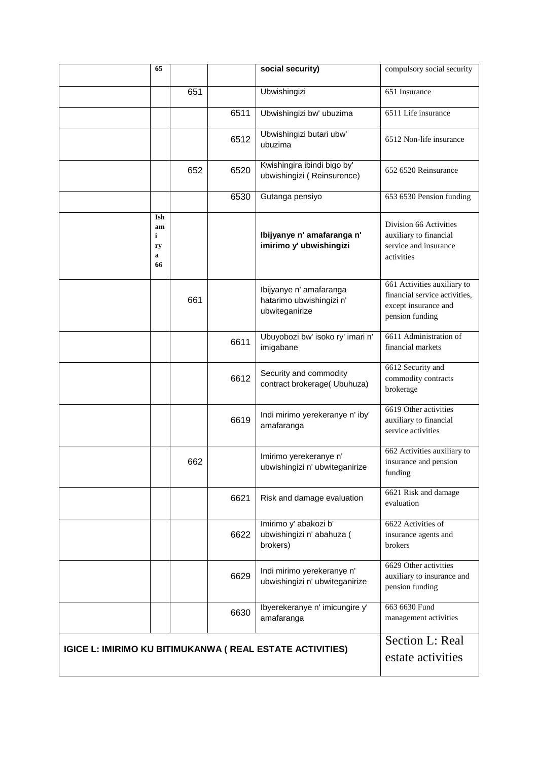|                                                                  | 65                                   |     |      | social security)                                                      | compulsory social security                                                                              |
|------------------------------------------------------------------|--------------------------------------|-----|------|-----------------------------------------------------------------------|---------------------------------------------------------------------------------------------------------|
|                                                                  |                                      | 651 |      | Ubwishingizi                                                          | 651 Insurance                                                                                           |
|                                                                  |                                      |     | 6511 | Ubwishingizi bw' ubuzima                                              | 6511 Life insurance                                                                                     |
|                                                                  |                                      |     | 6512 | Ubwishingizi butari ubw'<br>ubuzima                                   | 6512 Non-life insurance                                                                                 |
|                                                                  |                                      | 652 | 6520 | Kwishingira ibindi bigo by'<br>ubwishingizi (Reinsurence)             | 652 6520 Reinsurance                                                                                    |
|                                                                  |                                      |     | 6530 | Gutanga pensiyo                                                       | 653 6530 Pension funding                                                                                |
|                                                                  | Ish<br>am<br>i<br>ry<br>a<br>66      |     |      | Ibijyanye n' amafaranga n'<br>imirimo y' ubwishingizi                 | Division 66 Activities<br>auxiliary to financial<br>service and insurance<br>activities                 |
|                                                                  |                                      | 661 |      | Ibijyanye n' amafaranga<br>hatarimo ubwishingizi n'<br>ubwiteganirize | 661 Activities auxiliary to<br>financial service activities,<br>except insurance and<br>pension funding |
|                                                                  |                                      |     | 6611 | Ubuyobozi bw' isoko ry' imari n'<br>imigabane                         | 6611 Administration of<br>financial markets                                                             |
|                                                                  |                                      |     | 6612 | Security and commodity<br>contract brokerage( Ubuhuza)                | 6612 Security and<br>commodity contracts<br>brokerage                                                   |
|                                                                  |                                      |     | 6619 | Indi mirimo yerekeranye n' iby'<br>amafaranga                         | 6619 Other activities<br>auxiliary to financial<br>service activities                                   |
|                                                                  |                                      | 662 |      | Imirimo yerekeranye n'<br>ubwishingizi n' ubwiteganirize              | 662 Activities auxiliary to<br>insurance and pension<br>funding                                         |
|                                                                  |                                      |     | 6621 | Risk and damage evaluation                                            | 6621 Risk and damage<br>evaluation                                                                      |
|                                                                  |                                      |     | 6622 | Imirimo y' abakozi b'<br>ubwishingizi n' abahuza (<br>brokers)        | 6622 Activities of<br>insurance agents and<br>brokers                                                   |
|                                                                  |                                      |     | 6629 | Indi mirimo yerekeranye n'<br>ubwishingizi n' ubwiteganirize          | 6629 Other activities<br>auxiliary to insurance and<br>pension funding                                  |
|                                                                  |                                      |     | 6630 | Ibyerekeranye n' imicungire y'<br>amafaranga                          | 663 6630 Fund<br>management activities                                                                  |
| <b>IGICE L: IMIRIMO KU BITIMUKANWA ( REAL ESTATE ACTIVITIES)</b> | Section L: Real<br>estate activities |     |      |                                                                       |                                                                                                         |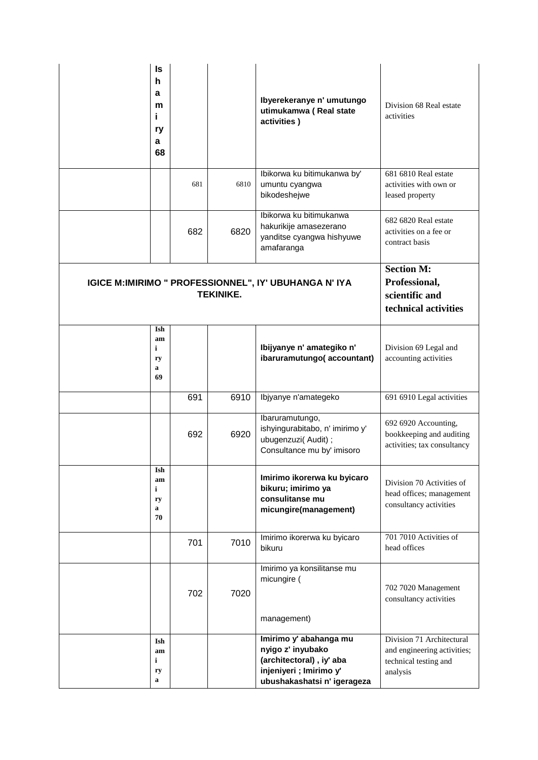| ls<br>h<br>a<br>m<br>i.<br>ry<br>a<br>68              |                                                                              |      | Ibyerekeranye n' umutungo<br>utimukamwa (Real state<br>activities)                                                                | Division 68 Real estate<br>activities                                                         |
|-------------------------------------------------------|------------------------------------------------------------------------------|------|-----------------------------------------------------------------------------------------------------------------------------------|-----------------------------------------------------------------------------------------------|
|                                                       | 681                                                                          | 6810 | Ibikorwa ku bitimukanwa by'<br>umuntu cyangwa<br>bikodeshejwe                                                                     | 681 6810 Real estate<br>activities with own or<br>leased property                             |
|                                                       | 682                                                                          | 6820 | Ibikorwa ku bitimukanwa<br>hakurikije amasezerano<br>yanditse cyangwa hishyuwe<br>amafaranga                                      | 682 6820 Real estate<br>activities on a fee or<br>contract basis                              |
| IGICE M:IMIRIMO " PROFESSIONNEL", IY' UBUHANGA N' IYA | <b>Section M:</b><br>Professional,<br>scientific and<br>technical activities |      |                                                                                                                                   |                                                                                               |
| Ish<br>am<br>$\mathbf{i}$<br>ry<br>a<br>69            |                                                                              |      | Ibijyanye n' amategiko n'<br>ibaruramutungo(accountant)                                                                           | Division 69 Legal and<br>accounting activities                                                |
|                                                       | 691                                                                          | 6910 | Ibjyanye n'amategeko                                                                                                              | 691 6910 Legal activities                                                                     |
|                                                       | 692                                                                          | 6920 | Ibaruramutungo,<br>ishyingurabitabo, n' imirimo y'<br>ubugenzuzi(Audit);<br>Consultance mu by' imisoro                            | 692 6920 Accounting,<br>bookkeeping and auditing<br>activities; tax consultancy               |
| Ish<br>am<br>i<br>ry<br>a<br>70                       |                                                                              |      | Imirimo ikorerwa ku byicaro<br>bikuru; imirimo ya<br>consulitanse mu<br>micungire(management)                                     | Division 70 Activities of<br>head offices; management<br>consultancy activities               |
|                                                       | 701                                                                          | 7010 | Imirimo ikorerwa ku byicaro<br>bikuru                                                                                             | 701 7010 Activities of<br>head offices                                                        |
|                                                       | 702                                                                          | 7020 | Imirimo ya konsilitanse mu<br>micungire (<br>management)                                                                          | 702 7020 Management<br>consultancy activities                                                 |
| Ish<br>am<br>i<br>ry<br>a                             |                                                                              |      | Imirimo y' abahanga mu<br>nyigo z' inyubako<br>(architectoral), iy' aba<br>injeniyeri ; Imirimo y'<br>ubushakashatsi n' igerageza | Division 71 Architectural<br>and engineering activities;<br>technical testing and<br>analysis |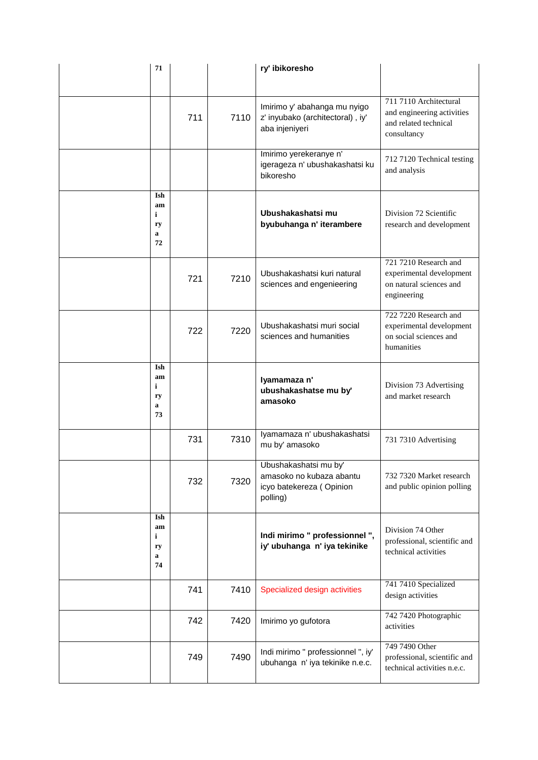| 71                                        |     |      | ry' ibikoresho                                                                            |                                                                                              |
|-------------------------------------------|-----|------|-------------------------------------------------------------------------------------------|----------------------------------------------------------------------------------------------|
|                                           | 711 | 7110 | Imirimo y' abahanga mu nyigo<br>z' inyubako (architectoral), iy'<br>aba injeniyeri        | 711 7110 Architectural<br>and engineering activities<br>and related technical<br>consultancy |
|                                           |     |      | Imirimo yerekeranye n'<br>igerageza n' ubushakashatsi ku<br>bikoresho                     | 712 7120 Technical testing<br>and analysis                                                   |
| Ish<br>am<br>i<br>ry<br>$\mathbf a$<br>72 |     |      | Ubushakashatsi mu<br>byubuhanga n' iterambere                                             | Division 72 Scientific<br>research and development                                           |
|                                           | 721 | 7210 | Ubushakashatsi kuri natural<br>sciences and engenieering                                  | 721 7210 Research and<br>experimental development<br>on natural sciences and<br>engineering  |
|                                           | 722 | 7220 | Ubushakashatsi muri social<br>sciences and humanities                                     | 722 7220 Research and<br>experimental development<br>on social sciences and<br>humanities    |
| Ish<br>am<br>i<br>ry<br>$\mathbf a$<br>73 |     |      | Iyamamaza n'<br>ubushakashatse mu by'<br>amasoko                                          | Division 73 Advertising<br>and market research                                               |
|                                           | 731 | 7310 | Iyamamaza n' ubushakashatsi<br>mu by' amasoko                                             | 731 7310 Advertising                                                                         |
|                                           | 732 | 7320 | Ubushakashatsi mu by'<br>amasoko no kubaza abantu<br>icyo batekereza (Opinion<br>polling) | 732 7320 Market research<br>and public opinion polling                                       |
| Ish<br>am<br>i<br>ry<br>a<br>74           |     |      | Indi mirimo " professionnel ",<br>iy' ubuhanga n' iya tekinike                            | Division 74 Other<br>professional, scientific and<br>technical activities                    |
|                                           | 741 | 7410 | Specialized design activities                                                             | 741 7410 Specialized<br>design activities                                                    |
|                                           | 742 | 7420 | Imirimo yo gufotora                                                                       | 742 7420 Photographic<br>activities                                                          |
|                                           | 749 | 7490 | Indi mirimo " professionnel ", iy'<br>ubuhanga n' iya tekinike n.e.c.                     | 749 7490 Other<br>professional, scientific and<br>technical activities n.e.c.                |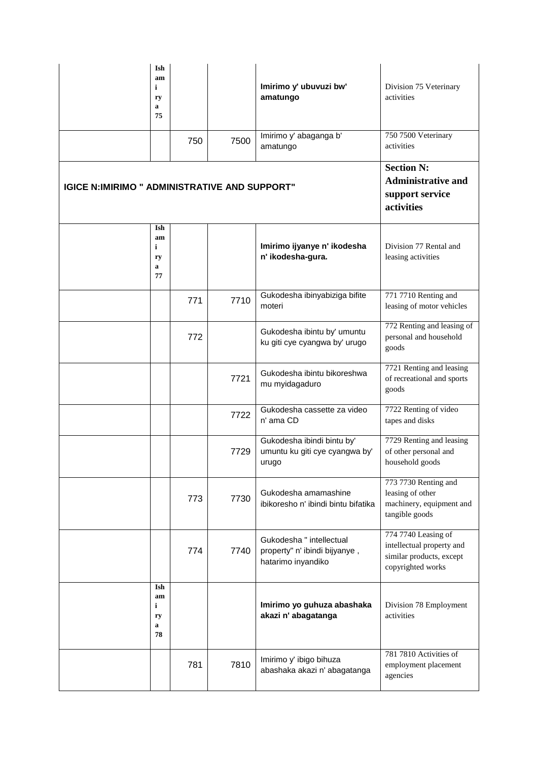|                                                      | Ish<br>am<br>i<br>ry<br>a<br>75                                                 |     |      | Imirimo y' ubuvuzi bw'<br>amatungo                                              | Division 75 Veterinary<br>activities                                                              |
|------------------------------------------------------|---------------------------------------------------------------------------------|-----|------|---------------------------------------------------------------------------------|---------------------------------------------------------------------------------------------------|
|                                                      |                                                                                 | 750 | 7500 | Imirimo y' abaganga b'<br>amatungo                                              | 750 7500 Veterinary<br>activities                                                                 |
| <b>IGICE N:IMIRIMO " ADMINISTRATIVE AND SUPPORT"</b> | <b>Section N:</b><br><b>Administrative and</b><br>support service<br>activities |     |      |                                                                                 |                                                                                                   |
|                                                      | Ish<br>am<br>i<br>ry<br>a<br>77                                                 |     |      | Imirimo ijyanye n' ikodesha<br>n' ikodesha-gura.                                | Division 77 Rental and<br>leasing activities                                                      |
|                                                      |                                                                                 | 771 | 7710 | Gukodesha ibinyabiziga bifite<br>moteri                                         | 771 7710 Renting and<br>leasing of motor vehicles                                                 |
|                                                      |                                                                                 | 772 |      | Gukodesha ibintu by' umuntu<br>ku giti cye cyangwa by' urugo                    | 772 Renting and leasing of<br>personal and household<br>goods                                     |
|                                                      |                                                                                 |     | 7721 | Gukodesha ibintu bikoreshwa<br>mu myidagaduro                                   | 7721 Renting and leasing<br>of recreational and sports<br>goods                                   |
|                                                      |                                                                                 |     | 7722 | Gukodesha cassette za video<br>n' ama CD                                        | 7722 Renting of video<br>tapes and disks                                                          |
|                                                      |                                                                                 |     | 7729 | Gukodesha ibindi bintu by'<br>umuntu ku giti cye cyangwa by'<br>urugo           | 7729 Renting and leasing<br>of other personal and<br>household goods                              |
|                                                      |                                                                                 | 773 | 7730 | Gukodesha amamashine<br>ibikoresho n' ibindi bintu bifatika                     | 773 7730 Renting and<br>leasing of other<br>machinery, equipment and<br>tangible goods            |
|                                                      |                                                                                 | 774 | 7740 | Gukodesha " intellectual<br>property" n' ibindi bijyanye,<br>hatarimo inyandiko | 774 7740 Leasing of<br>intellectual property and<br>similar products, except<br>copyrighted works |
|                                                      | Ish<br>am<br>i<br>ry<br>$\mathbf a$<br>78                                       |     |      | Imirimo yo guhuza abashaka<br>akazi n' abagatanga                               | Division 78 Employment<br>activities                                                              |
|                                                      |                                                                                 | 781 | 7810 | Imirimo y' ibigo bihuza<br>abashaka akazi n' abagatanga                         | 781 7810 Activities of<br>employment placement<br>agencies                                        |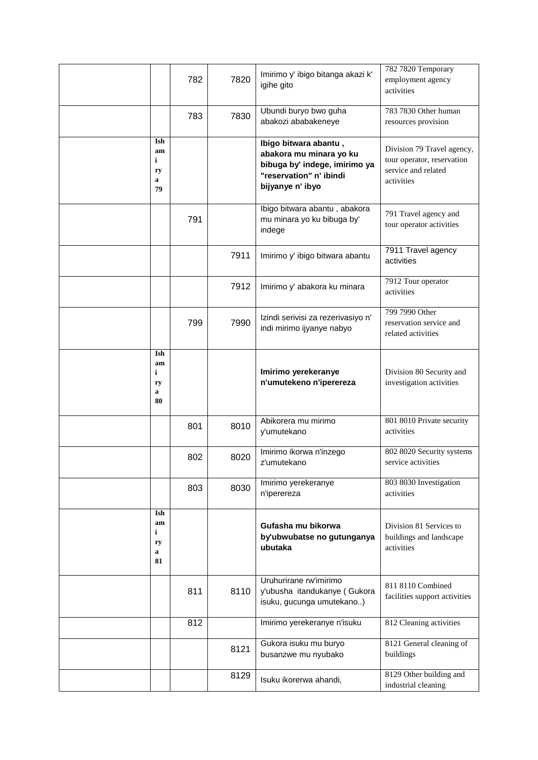|                                           | 782 | 7820 | Imirimo y' ibigo bitanga akazi k'<br>igihe gito                                                                                  | 782 7820 Temporary<br>employment agency<br>activities                                         |
|-------------------------------------------|-----|------|----------------------------------------------------------------------------------------------------------------------------------|-----------------------------------------------------------------------------------------------|
|                                           | 783 | 7830 | Ubundi buryo bwo guha<br>abakozi ababakeneye                                                                                     | 783 7830 Other human<br>resources provision                                                   |
| Ish<br>am<br>i<br>ry<br>a<br>79           |     |      | Ibigo bitwara abantu,<br>abakora mu minara yo ku<br>bibuga by' indege, imirimo ya<br>"reservation" n' ibindi<br>bijyanye n' ibyo | Division 79 Travel agency,<br>tour operator, reservation<br>service and related<br>activities |
|                                           | 791 |      | Ibigo bitwara abantu, abakora<br>mu minara yo ku bibuga by'<br>indege                                                            | 791 Travel agency and<br>tour operator activities                                             |
|                                           |     | 7911 | Imirimo y' ibigo bitwara abantu                                                                                                  | 7911 Travel agency<br>activities                                                              |
|                                           |     | 7912 | Imirimo y' abakora ku minara                                                                                                     | 7912 Tour operator<br>activities                                                              |
|                                           | 799 | 7990 | Izindi serivisi za rezerivasiyo n'<br>indi mirimo ijyanye nabyo                                                                  | 799 7990 Other<br>reservation service and<br>related activities                               |
| Ish<br>am<br>i<br>ry<br>a<br>80           |     |      | Imirimo yerekeranye<br>n'umutekeno n'iperereza                                                                                   | Division 80 Security and<br>investigation activities                                          |
|                                           | 801 | 8010 | Abikorera mu mirimo<br>y'umutekano                                                                                               | 801 8010 Private security<br>activities                                                       |
|                                           | 802 | 8020 | Imirimo ikorwa n'inzego<br>z'umutekano                                                                                           | 802 8020 Security systems<br>service activities                                               |
|                                           | 803 | 8030 | Imirimo yerekeranye<br>n'iperereza                                                                                               | 803 8030 Investigation<br>activities                                                          |
| Ish<br>am<br>$\mathbf i$<br>ry<br>a<br>81 |     |      | Gufasha mu bikorwa<br>by'ubwubatse no gutunganya<br>ubutaka                                                                      | Division 81 Services to<br>buildings and landscape<br>activities                              |
|                                           | 811 | 8110 | Uruhurirane rw'imirimo<br>y'ubusha itandukanye (Gukora<br>isuku, gucunga umutekano)                                              | 811 8110 Combined<br>facilities support activities                                            |
|                                           | 812 |      | Imirimo yerekeranye n'isuku                                                                                                      | 812 Cleaning activities                                                                       |
|                                           |     | 8121 | Gukora isuku mu buryo<br>busanzwe mu nyubako                                                                                     | 8121 General cleaning of<br>buildings                                                         |
|                                           |     | 8129 | Isuku ikorerwa ahandi,                                                                                                           | 8129 Other building and<br>industrial cleaning                                                |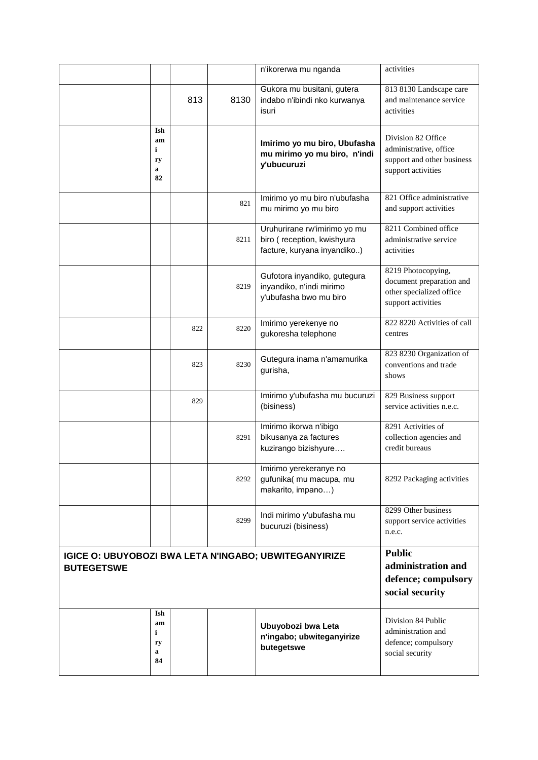|                                                                                   |                                                                               |     |      | n'ikorerwa mu nganda                                                                      | activities                                                                                       |
|-----------------------------------------------------------------------------------|-------------------------------------------------------------------------------|-----|------|-------------------------------------------------------------------------------------------|--------------------------------------------------------------------------------------------------|
|                                                                                   |                                                                               | 813 | 8130 | Gukora mu busitani, gutera<br>indabo n'ibindi nko kurwanya<br>isuri                       | 813 8130 Landscape care<br>and maintenance service<br>activities                                 |
|                                                                                   | Ish<br>am<br>i<br>ry<br>$\mathbf a$<br>82                                     |     |      | Imirimo yo mu biro, Ubufasha<br>mu mirimo yo mu biro, n'indi<br>y'ubucuruzi               | Division 82 Office<br>administrative, office<br>support and other business<br>support activities |
|                                                                                   |                                                                               |     | 821  | Imirimo yo mu biro n'ubufasha<br>mu mirimo yo mu biro                                     | 821 Office administrative<br>and support activities                                              |
|                                                                                   |                                                                               |     | 8211 | Uruhurirane rw'imirimo yo mu<br>biro (reception, kwishyura<br>facture, kuryana inyandiko) | 8211 Combined office<br>administrative service<br>activities                                     |
|                                                                                   |                                                                               |     | 8219 | Gufotora inyandiko, gutegura<br>inyandiko, n'indi mirimo<br>y'ubufasha bwo mu biro        | 8219 Photocopying,<br>document preparation and<br>other specialized office<br>support activities |
|                                                                                   |                                                                               | 822 | 8220 | Imirimo yerekenye no<br>gukoresha telephone                                               | 822 8220 Activities of call<br>centres                                                           |
|                                                                                   |                                                                               | 823 | 8230 | Gutegura inama n'amamurika<br>gurisha,                                                    | 823 8230 Organization of<br>conventions and trade<br>shows                                       |
|                                                                                   |                                                                               | 829 |      | Imirimo y'ubufasha mu bucuruzi<br>(bisiness)                                              | 829 Business support<br>service activities n.e.c.                                                |
|                                                                                   |                                                                               |     | 8291 | Imirimo ikorwa n'ibigo<br>bikusanya za factures<br>kuzirango bizishyure                   | 8291 Activities of<br>collection agencies and<br>credit bureaus                                  |
|                                                                                   |                                                                               |     | 8292 | Imirimo yerekeranye no<br>gufunika(mu macupa, mu<br>makarito, impano)                     | 8292 Packaging activities                                                                        |
|                                                                                   |                                                                               |     | 8299 | Indi mirimo y'ubufasha mu<br>bucuruzi (bisiness)                                          | 8299 Other business<br>support service activities<br>n.e.c.                                      |
| <b>IGICE O: UBUYOBOZI BWA LETA N'INGABO; UBWITEGANYIRIZE</b><br><b>BUTEGETSWE</b> | <b>Public</b><br>administration and<br>defence; compulsory<br>social security |     |      |                                                                                           |                                                                                                  |
|                                                                                   | Ish<br>am<br>i<br>ry<br>a<br>84                                               |     |      | Ubuyobozi bwa Leta<br>n'ingabo; ubwiteganyirize<br>butegetswe                             | Division 84 Public<br>administration and<br>defence; compulsory<br>social security               |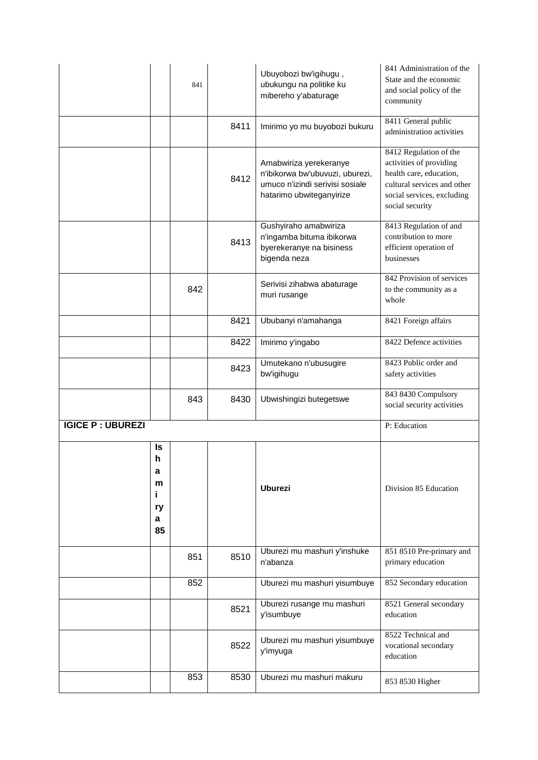|                         |                                         | 841 |      | Ubuyobozi bw'igihugu,<br>ubukungu na politike ku<br>mibereho y'abaturage                                                 | 841 Administration of the<br>State and the economic<br>and social policy of the<br>community                                                                 |
|-------------------------|-----------------------------------------|-----|------|--------------------------------------------------------------------------------------------------------------------------|--------------------------------------------------------------------------------------------------------------------------------------------------------------|
|                         |                                         |     | 8411 | Imirimo yo mu buyobozi bukuru                                                                                            | 8411 General public<br>administration activities                                                                                                             |
|                         |                                         |     | 8412 | Amabwiriza yerekeranye<br>n'ibikorwa bw'ubuvuzi, uburezi,<br>umuco n'izindi serivisi sosiale<br>hatarimo ubwiteganyirize | 8412 Regulation of the<br>activities of providing<br>health care, education,<br>cultural services and other<br>social services, excluding<br>social security |
|                         |                                         |     | 8413 | Gushyiraho amabwiriza<br>n'ingamba bituma ibikorwa<br>byerekeranye na bisiness<br>bigenda neza                           | 8413 Regulation of and<br>contribution to more<br>efficient operation of<br>businesses                                                                       |
|                         |                                         | 842 |      | Serivisi zihabwa abaturage<br>muri rusange                                                                               | 842 Provision of services<br>to the community as a<br>whole                                                                                                  |
|                         |                                         |     | 8421 | Ububanyi n'amahanga                                                                                                      | 8421 Foreign affairs                                                                                                                                         |
|                         |                                         |     | 8422 | Imirimo y'ingabo                                                                                                         | 8422 Defence activities                                                                                                                                      |
|                         |                                         |     | 8423 | Umutekano n'ubusugire<br>bw'igihugu                                                                                      | 8423 Public order and<br>safety activities                                                                                                                   |
|                         |                                         | 843 | 8430 | Ubwishingizi butegetswe                                                                                                  | 843 8430 Compulsory<br>social security activities                                                                                                            |
| <b>IGICE P: UBUREZI</b> |                                         |     |      |                                                                                                                          | P: Education                                                                                                                                                 |
|                         | Is<br>h<br>a<br>m<br>i<br>ry<br>a<br>85 |     |      | <b>Uburezi</b>                                                                                                           | Division 85 Education                                                                                                                                        |
|                         |                                         | 851 | 8510 | Uburezi mu mashuri y'inshuke<br>n'abanza                                                                                 | 851 8510 Pre-primary and<br>primary education                                                                                                                |
|                         |                                         | 852 |      | Uburezi mu mashuri yisumbuye                                                                                             | 852 Secondary education                                                                                                                                      |
|                         |                                         |     | 8521 | Uburezi rusange mu mashuri<br>y'isumbuye                                                                                 | 8521 General secondary<br>education                                                                                                                          |
|                         |                                         |     | 8522 | Uburezi mu mashuri yisumbuye<br>y'imyuga                                                                                 | 8522 Technical and<br>vocational secondary<br>education                                                                                                      |
|                         |                                         | 853 | 8530 | Uburezi mu mashuri makuru                                                                                                | 853 8530 Higher                                                                                                                                              |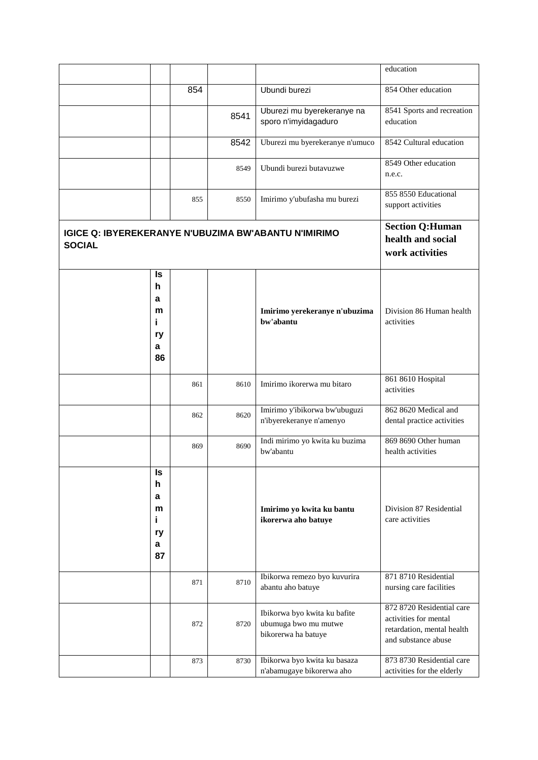|                                                                              |                                                                |     |      |                                                                             | education                                                                                               |
|------------------------------------------------------------------------------|----------------------------------------------------------------|-----|------|-----------------------------------------------------------------------------|---------------------------------------------------------------------------------------------------------|
|                                                                              |                                                                | 854 |      | Ubundi burezi                                                               | 854 Other education                                                                                     |
|                                                                              |                                                                |     | 8541 | Uburezi mu byerekeranye na<br>sporo n'imyidagaduro                          | 8541 Sports and recreation<br>education                                                                 |
|                                                                              |                                                                |     | 8542 | Uburezi mu byerekeranye n'umuco                                             | 8542 Cultural education                                                                                 |
|                                                                              |                                                                |     | 8549 | Ubundi burezi butavuzwe                                                     | 8549 Other education<br>n.e.c.                                                                          |
|                                                                              |                                                                | 855 | 8550 | Imirimo y'ubufasha mu burezi                                                | 855 8550 Educational<br>support activities                                                              |
| <b>IGICE Q: IBYEREKERANYE N'UBUZIMA BW'ABANTU N'IMIRIMO</b><br><b>SOCIAL</b> | <b>Section Q:Human</b><br>health and social<br>work activities |     |      |                                                                             |                                                                                                         |
|                                                                              | ls<br>h<br>a<br>m<br>i.<br>ry<br>a<br>86                       |     |      | Imirimo yerekeranye n'ubuzima<br>bw'abantu                                  | Division 86 Human health<br>activities                                                                  |
|                                                                              |                                                                | 861 | 8610 | Imirimo ikorerwa mu bitaro                                                  | 861 8610 Hospital<br>activities                                                                         |
|                                                                              |                                                                | 862 | 8620 | Imirimo y'ibikorwa bw'ubuguzi<br>n'ibyerekeranye n'amenyo                   | 862 8620 Medical and<br>dental practice activities                                                      |
|                                                                              |                                                                | 869 | 8690 | Indi mirimo yo kwita ku buzima<br>bw'abantu                                 | 869 8690 Other human<br>health activities                                                               |
|                                                                              | ls<br>h<br>a<br>m<br>i.<br>ry<br>a<br>87                       |     |      | Imirimo yo kwita ku bantu<br>ikorerwa aho batuye                            | Division 87 Residential<br>care activities                                                              |
|                                                                              |                                                                | 871 | 8710 | Ibikorwa remezo byo kuvurira<br>abantu aho batuye                           | 871 8710 Residential<br>nursing care facilities                                                         |
|                                                                              |                                                                | 872 | 8720 | Ibikorwa byo kwita ku bafite<br>ubumuga bwo mu mutwe<br>bikorerwa ha batuye | 872 8720 Residential care<br>activities for mental<br>retardation, mental health<br>and substance abuse |
|                                                                              |                                                                | 873 | 8730 | Ibikorwa byo kwita ku basaza<br>n'abamugaye bikorerwa aho                   | 873 8730 Residential care<br>activities for the elderly                                                 |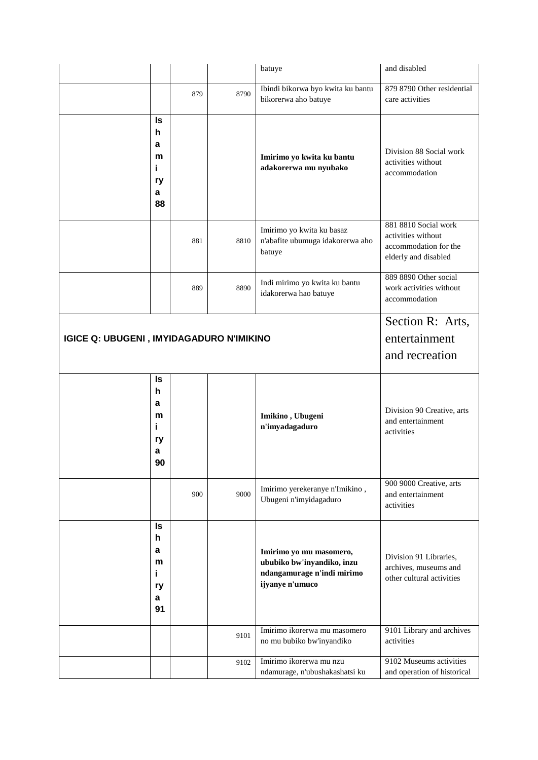|                                                 |                                          |     |      | batuye                                                                                                 | and disabled                                                                                |
|-------------------------------------------------|------------------------------------------|-----|------|--------------------------------------------------------------------------------------------------------|---------------------------------------------------------------------------------------------|
|                                                 |                                          | 879 | 8790 | Ibindi bikorwa byo kwita ku bantu<br>bikorerwa aho batuye                                              | 879 8790 Other residential<br>care activities                                               |
|                                                 | Is<br>h<br>a<br>m<br>i.<br>ry<br>a<br>88 |     |      | Imirimo yo kwita ku bantu<br>adakorerwa mu nyubako                                                     | Division 88 Social work<br>activities without<br>accommodation                              |
|                                                 |                                          | 881 | 8810 | Imirimo yo kwita ku basaz<br>n'abafite ubumuga idakorerwa aho<br>batuye                                | 881 8810 Social work<br>activities without<br>accommodation for the<br>elderly and disabled |
|                                                 |                                          | 889 | 8890 | Indi mirimo yo kwita ku bantu<br>idakorerwa hao batuye                                                 | 889 8890 Other social<br>work activities without<br>accommodation                           |
| <b>IGICE Q: UBUGENI, IMYIDAGADURO N'IMIKINO</b> |                                          |     |      |                                                                                                        | Section R: Arts,<br>entertainment<br>and recreation                                         |
|                                                 | ls<br>h<br>a<br>m<br>i<br>ry<br>a<br>90  |     |      | Imikino, Ubugeni<br>n'imyadagaduro                                                                     | Division 90 Creative, arts<br>and entertainment<br>activities                               |
|                                                 |                                          | 900 | 9000 | Imirimo yerekeranye n'Imikino,<br>Ubugeni n'imyidagaduro                                               | 900 9000 Creative, arts<br>and entertainment<br>activities                                  |
|                                                 | ls<br>h<br>a<br>m<br>i<br>ry<br>а<br>91  |     |      | Imirimo yo mu masomero,<br>ububiko bw'inyandiko, inzu<br>ndangamurage n'indi mirimo<br>ijyanye n'umuco | Division 91 Libraries,<br>archives, museums and<br>other cultural activities                |
|                                                 |                                          |     | 9101 | Imirimo ikorerwa mu masomero<br>no mu bubiko bw'inyandiko                                              | 9101 Library and archives<br>activities                                                     |
|                                                 |                                          |     | 9102 | Imirimo ikorerwa mu nzu<br>ndamurage, n'ubushakashatsi ku                                              | 9102 Museums activities<br>and operation of historical                                      |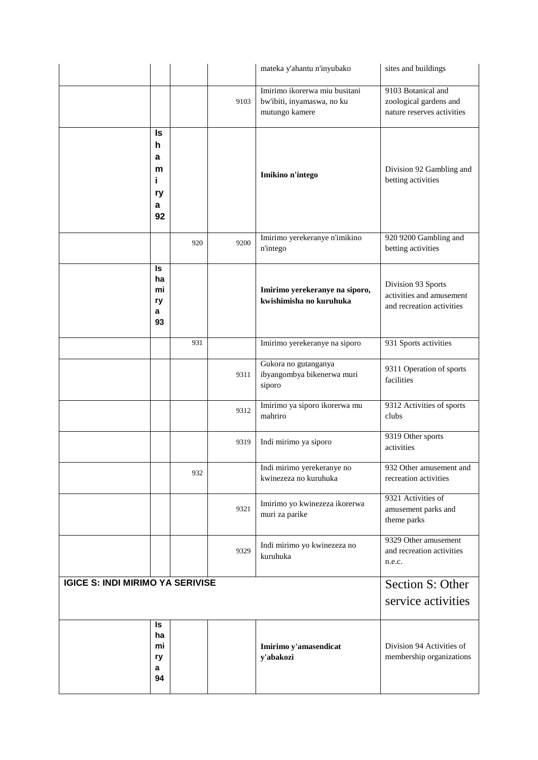|                                         |                            |      | mateka y'ahantu n'inyubako                                                    | sites and buildings                                                         |
|-----------------------------------------|----------------------------|------|-------------------------------------------------------------------------------|-----------------------------------------------------------------------------|
|                                         |                            | 9103 | Imirimo ikorerwa miu busitani<br>bw'ibiti, inyamaswa, no ku<br>mutungo kamere | 9103 Botanical and<br>zoological gardens and<br>nature reserves activities  |
| h<br>a<br>i<br>a                        | Is<br>m<br>ry<br>92        |      | Imikino n'intego                                                              | Division 92 Gambling and<br>betting activities                              |
|                                         | 920                        | 9200 | Imirimo yerekeranye n'imikino<br>n'intego                                     | 920 9200 Gambling and<br>betting activities                                 |
| a                                       | ls<br>ha<br>mi<br>ry<br>93 |      | Imirimo yerekeranye na siporo,<br>kwishimisha no kuruhuka                     | Division 93 Sports<br>activities and amusement<br>and recreation activities |
|                                         | 931                        |      | Imirimo yerekeranye na siporo                                                 | 931 Sports activities                                                       |
|                                         |                            | 9311 | Gukora no gutanganya<br>ibyangombya bikenerwa muri<br>siporo                  | 9311 Operation of sports<br>facilities                                      |
|                                         |                            | 9312 | Imirimo ya siporo ikorerwa mu<br>mahriro                                      | 9312 Activities of sports<br>clubs                                          |
|                                         |                            | 9319 | Indi mirimo ya siporo                                                         | 9319 Other sports<br>activities                                             |
|                                         | 932                        |      | Indi mirimo yerekeranye no<br>kwinezeza no kuruhuka                           | 932 Other amusement and<br>recreation activities                            |
|                                         |                            | 9321 | Imirimo yo kwinezeza ikorerwa<br>muri za parike                               | 9321 Activities of<br>amusement parks and<br>theme parks                    |
|                                         |                            | 9329 | Indi mirimo yo kwinezeza no<br>kuruhuka                                       | 9329 Other amusement<br>and recreation activities<br>n.e.c.                 |
| <b>IGICE S: INDI MIRIMO YA SERIVISE</b> |                            |      |                                                                               | Section S: Other<br>service activities                                      |
| a                                       | ls<br>ha<br>mi<br>ry<br>94 |      | Imirimo y'amasendicat<br>y'abakozi                                            | Division 94 Activities of<br>membership organizations                       |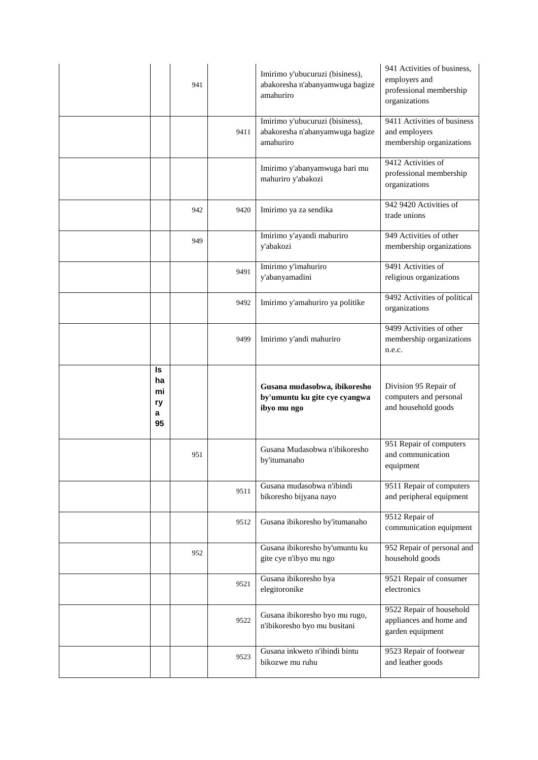|                                 | 941 |      | Imirimo y'ubucuruzi (bisiness),<br>abakoresha n'abanyamwuga bagize<br>amahuriro | 941 Activities of business.<br>employers and<br>professional membership<br>organizations |
|---------------------------------|-----|------|---------------------------------------------------------------------------------|------------------------------------------------------------------------------------------|
|                                 |     | 9411 | Imirimo y'ubucuruzi (bisiness),<br>abakoresha n'abanyamwuga bagize<br>amahuriro | 9411 Activities of business<br>and employers<br>membership organizations                 |
|                                 |     |      | Imirimo y'abanyamwuga bari mu<br>mahuriro y'abakozi                             | 9412 Activities of<br>professional membership<br>organizations                           |
|                                 | 942 | 9420 | Imirimo ya za sendika                                                           | 942 9420 Activities of<br>trade unions                                                   |
|                                 | 949 |      | Imirimo y'ayandi mahuriro<br>y'abakozi                                          | 949 Activities of other<br>membership organizations                                      |
|                                 |     | 9491 | Imirimo y'imahuriro<br>y'abanyamadini                                           | 9491 Activities of<br>religious organizations                                            |
|                                 |     | 9492 | Imirimo y'amahuriro ya politike                                                 | 9492 Activities of political<br>organizations                                            |
|                                 |     | 9499 | Imirimo y'andi mahuriro                                                         | 9499 Activities of other<br>membership organizations<br>n.e.c.                           |
|                                 |     |      |                                                                                 |                                                                                          |
| Is<br>ha<br>mi<br>ry<br>a<br>95 |     |      | Gusana mudasobwa, ibikoresho<br>by'umuntu ku gite cye cyangwa<br>ibyo mu ngo    | Division 95 Repair of<br>computers and personal<br>and household goods                   |
|                                 | 951 |      | Gusana Mudasobwa n'ibikoresho<br>by'itumanaho                                   | 951 Repair of computers<br>and communication<br>equipment                                |
|                                 |     | 9511 | Gusana mudasobwa n'ibindi<br>bikoresho bijyana nayo                             | 9511 Repair of computers<br>and peripheral equipment                                     |
|                                 |     | 9512 | Gusana ibikoresho by'itumanaho                                                  | 9512 Repair of<br>communication equipment                                                |
|                                 | 952 |      | Gusana ibikoresho by'umuntu ku<br>gite cye n'ibyo mu ngo                        | 952 Repair of personal and<br>household goods                                            |
|                                 |     | 9521 | Gusana ibikoresho bya<br>elegitoronike                                          | 9521 Repair of consumer<br>electronics                                                   |
|                                 |     | 9522 | Gusana ibikoresho byo mu rugo,<br>n'ibikoresho byo mu busitani                  | 9522 Repair of household<br>appliances and home and<br>garden equipment                  |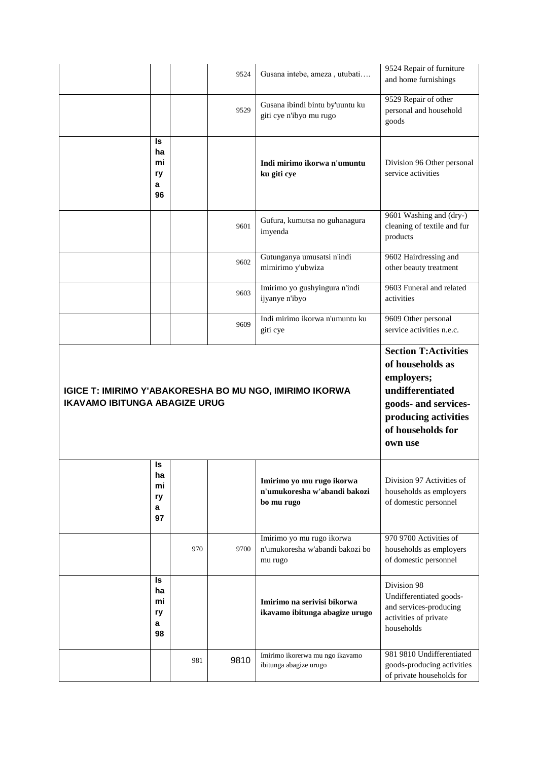|                                      |                                 |     | 9524 | Gusana intebe, ameza, utubati                                           | 9524 Repair of furniture<br>and home furnishings                                                                                     |
|--------------------------------------|---------------------------------|-----|------|-------------------------------------------------------------------------|--------------------------------------------------------------------------------------------------------------------------------------|
|                                      |                                 |     | 9529 | Gusana ibindi bintu by'uuntu ku<br>giti cye n'ibyo mu rugo              | 9529 Repair of other<br>personal and household<br>goods                                                                              |
|                                      | Is<br>ha<br>mi<br>ry<br>a<br>96 |     |      | Indi mirimo ikorwa n'umuntu<br>ku giti cye                              | Division 96 Other personal<br>service activities                                                                                     |
|                                      |                                 |     | 9601 | Gufura, kumutsa no guhanagura<br>imyenda                                | 9601 Washing and (dry-)<br>cleaning of textile and fur<br>products                                                                   |
|                                      |                                 |     | 9602 | Gutunganya umusatsi n'indi<br>mimirimo y'ubwiza                         | 9602 Hairdressing and<br>other beauty treatment                                                                                      |
|                                      |                                 |     | 9603 | Imirimo yo gushyingura n'indi<br>ijyanye n'ibyo                         | 9603 Funeral and related<br>activities                                                                                               |
|                                      |                                 |     | 9609 | Indi mirimo ikorwa n'umuntu ku<br>giti cye                              | 9609 Other personal<br>service activities n.e.c.                                                                                     |
|                                      |                                 |     |      |                                                                         | <b>Section T:Activities</b>                                                                                                          |
| <b>IKAVAMO IBITUNGA ABAGIZE URUG</b> |                                 |     |      | <b>IGICE T: IMIRIMO Y'ABAKORESHA BO MU NGO, IMIRIMO IKORWA</b>          | of households as<br>employers;<br>undifferentiated<br>goods- and services-<br>producing activities<br>of households for<br>own use   |
|                                      | ls<br>ha<br>mi<br>ry<br>a<br>97 |     |      | Imirimo yo mu rugo ikorwa<br>n'umukoresha w'abandi bakozi<br>bo mu rugo | Division 97 Activities of<br>households as employers<br>of domestic personnel                                                        |
|                                      |                                 | 970 | 9700 | Imirimo yo mu rugo ikorwa<br>n'umukoresha w'abandi bakozi bo<br>mu rugo | 970 9700 Activities of<br>households as employers<br>of domestic personnel                                                           |
|                                      | ls<br>ha<br>mi<br>ry<br>a<br>98 |     |      | Imirimo na serivisi bikorwa<br>ikavamo ibitunga abagize urugo           | Division 98<br>Undifferentiated goods-<br>and services-producing<br>activities of private<br>households<br>981 9810 Undifferentiated |